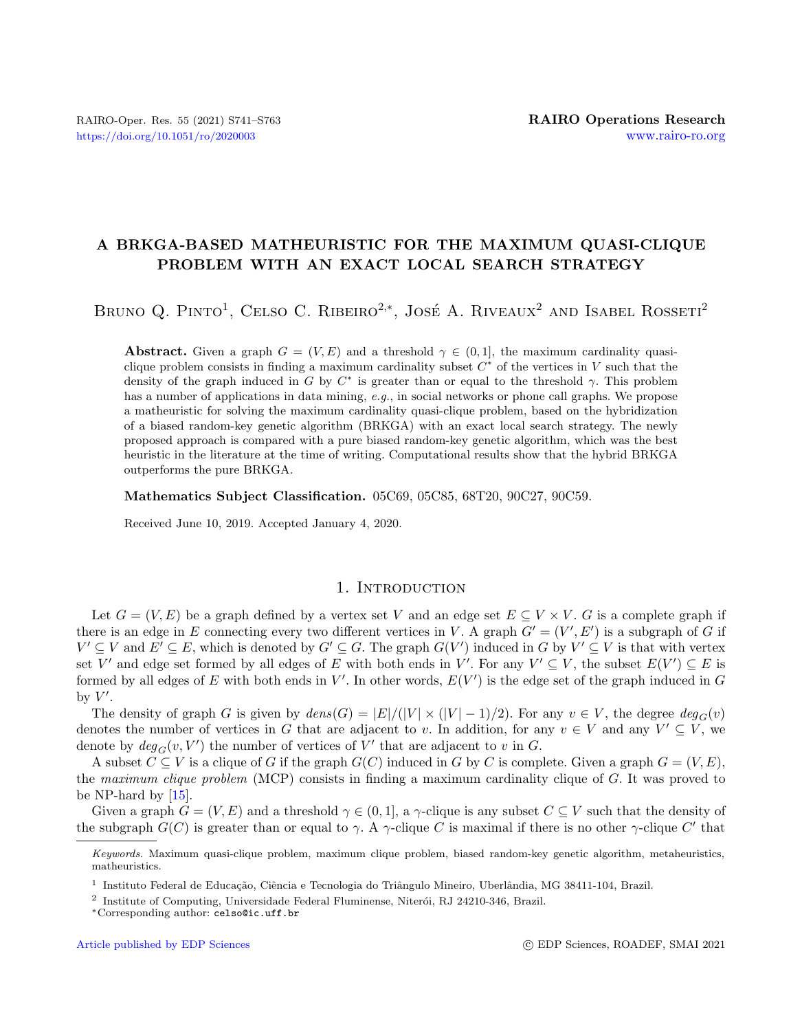# A BRKGA-BASED MATHEURISTIC FOR THE MAXIMUM QUASI-CLIQUE PROBLEM WITH AN EXACT LOCAL SEARCH STRATEGY

BRUNO Q. PINTO<sup>1</sup>, CELSO C. RIBEIRO<sup>2,\*</sup>, JOSÉ A. RIVEAUX<sup>2</sup> AND ISABEL ROSSETI<sup>2</sup>

**Abstract.** Given a graph  $G = (V, E)$  and a threshold  $\gamma \in (0, 1]$ , the maximum cardinality quasiclique problem consists in finding a maximum cardinality subset  $C^*$  of the vertices in V such that the density of the graph induced in G by  $C^*$  is greater than or equal to the threshold  $\gamma$ . This problem has a number of applications in data mining, e.g., in social networks or phone call graphs. We propose a matheuristic for solving the maximum cardinality quasi-clique problem, based on the hybridization of a biased random-key genetic algorithm (BRKGA) with an exact local search strategy. The newly proposed approach is compared with a pure biased random-key genetic algorithm, which was the best heuristic in the literature at the time of writing. Computational results show that the hybrid BRKGA outperforms the pure BRKGA.

Mathematics Subject Classification. 05C69, 05C85, 68T20, 90C27, 90C59.

Received June 10, 2019. Accepted January 4, 2020.

# 1. INTRODUCTION

Let  $G = (V, E)$  be a graph defined by a vertex set V and an edge set  $E \subseteq V \times V$ . G is a complete graph if there is an edge in E connecting every two different vertices in V. A graph  $G' = (V', E')$  is a subgraph of G if  $V' \subseteq V$  and  $E' \subseteq E$ , which is denoted by  $G' \subseteq G$ . The graph  $G(V')$  induced in G by  $V' \subseteq V$  is that with vertex set V' and edge set formed by all edges of E with both ends in V'. For any  $V' \subseteq V$ , the subset  $E(V') \subseteq E$  is formed by all edges of E with both ends in  $V'$ . In other words,  $E(V')$  is the edge set of the graph induced in G by  $V'$ .

The density of graph G is given by  $dens(G) = |E|/(|V| \times (|V| - 1)/2)$ . For any  $v \in V$ , the degree  $deg_G(v)$ denotes the number of vertices in G that are adjacent to v. In addition, for any  $v \in V$  and any  $V' \subseteq V$ , we denote by  $deg_G(v, V')$  the number of vertices of V' that are adjacent to v in G.

A subset  $C \subseteq V$  is a clique of G if the graph  $G(C)$  induced in G by C is complete. Given a graph  $G = (V, E)$ , the maximum clique problem (MCP) consists in finding a maximum cardinality clique of G. It was proved to be NP-hard by [\[15\]](#page-21-0).

Given a graph  $G = (V, E)$  and a threshold  $\gamma \in (0, 1]$ , a  $\gamma$ -clique is any subset  $C \subseteq V$  such that the density of the subgraph  $G(C)$  is greater than or equal to  $\gamma$ . A  $\gamma$ -clique C is maximal if there is no other  $\gamma$ -clique C' that

Keywords. Maximum quasi-clique problem, maximum clique problem, biased random-key genetic algorithm, metaheuristics, matheuristics.

<sup>&</sup>lt;sup>1</sup> Instituto Federal de Educação, Ciência e Tecnologia do Triângulo Mineiro, Uberlândia, MG 38411-104, Brazil.

<sup>&</sup>lt;sup>2</sup> Institute of Computing, Universidade Federal Fluminense, Niterói, RJ 24210-346, Brazil.

<sup>∗</sup>Corresponding author: [celso@ic.uff.br](mailto:celso@ic.uff.br)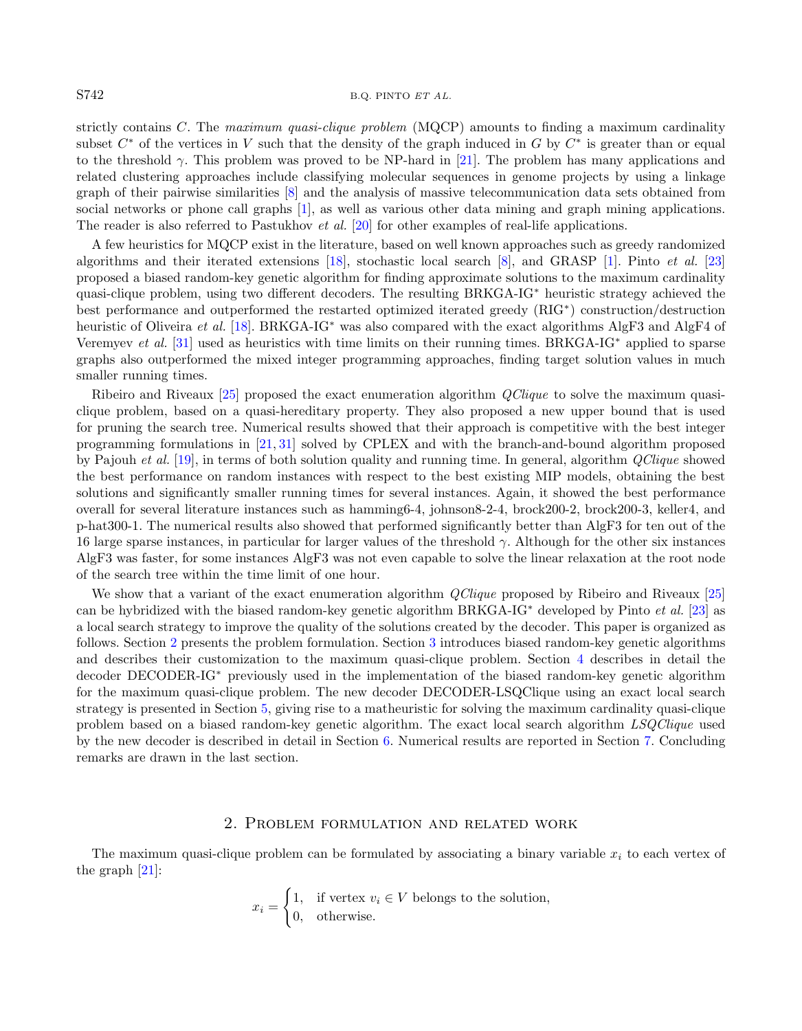## S742 B.Q. PINTO ET AL.

strictly contains C. The maximum quasi-clique problem (MQCP) amounts to finding a maximum cardinality subset  $C^*$  of the vertices in V such that the density of the graph induced in G by  $C^*$  is greater than or equal to the threshold  $\gamma$ . This problem was proved to be NP-hard in [\[21\]](#page-21-1). The problem has many applications and related clustering approaches include classifying molecular sequences in genome projects by using a linkage graph of their pairwise similarities [\[8\]](#page-21-2) and the analysis of massive telecommunication data sets obtained from social networks or phone call graphs [\[1\]](#page-21-3), as well as various other data mining and graph mining applications. The reader is also referred to Pastukhov *et al.* [\[20\]](#page-21-4) for other examples of real-life applications.

A few heuristics for MQCP exist in the literature, based on well known approaches such as greedy randomized algorithms and their iterated extensions [\[18\]](#page-21-5), stochastic local search [\[8\]](#page-21-2), and GRASP [\[1\]](#page-21-3). Pinto et al. [\[23\]](#page-21-6) proposed a biased random-key genetic algorithm for finding approximate solutions to the maximum cardinality quasi-clique problem, using two different decoders. The resulting BRKGA-IG<sup>∗</sup> heuristic strategy achieved the best performance and outperformed the restarted optimized iterated greedy (RIG<sup>∗</sup> ) construction/destruction heuristic of Oliveira et al. [\[18\]](#page-21-5). BRKGA-IG<sup>∗</sup> was also compared with the exact algorithms AlgF3 and AlgF4 of Veremyev et al. [\[31\]](#page-22-0) used as heuristics with time limits on their running times. BRKGA-IG<sup>∗</sup> applied to sparse graphs also outperformed the mixed integer programming approaches, finding target solution values in much smaller running times.

Ribeiro and Riveaux [\[25\]](#page-21-7) proposed the exact enumeration algorithm QClique to solve the maximum quasiclique problem, based on a quasi-hereditary property. They also proposed a new upper bound that is used for pruning the search tree. Numerical results showed that their approach is competitive with the best integer programming formulations in [\[21,](#page-21-1) [31\]](#page-22-0) solved by CPLEX and with the branch-and-bound algorithm proposed by Pajouh et al. [\[19\]](#page-21-8), in terms of both solution quality and running time. In general, algorithm QClique showed the best performance on random instances with respect to the best existing MIP models, obtaining the best solutions and significantly smaller running times for several instances. Again, it showed the best performance overall for several literature instances such as hamming6-4, johnson8-2-4, brock200-2, brock200-3, keller4, and p-hat300-1. The numerical results also showed that performed significantly better than AlgF3 for ten out of the 16 large sparse instances, in particular for larger values of the threshold  $\gamma$ . Although for the other six instances AlgF3 was faster, for some instances AlgF3 was not even capable to solve the linear relaxation at the root node of the search tree within the time limit of one hour.

We show that a variant of the exact enumeration algorithm *QClique* proposed by Ribeiro and Riveaux [\[25\]](#page-21-7) can be hybridized with the biased random-key genetic algorithm BRKGA-IG<sup>∗</sup> developed by Pinto et al. [\[23\]](#page-21-6) as a local search strategy to improve the quality of the solutions created by the decoder. This paper is organized as follows. Section [2](#page-1-0) presents the problem formulation. Section [3](#page-2-0) introduces biased random-key genetic algorithms and describes their customization to the maximum quasi-clique problem. Section [4](#page-4-0) describes in detail the decoder DECODER-IG<sup>∗</sup> previously used in the implementation of the biased random-key genetic algorithm for the maximum quasi-clique problem. The new decoder DECODER-LSQClique using an exact local search strategy is presented in Section [5,](#page-5-0) giving rise to a matheuristic for solving the maximum cardinality quasi-clique problem based on a biased random-key genetic algorithm. The exact local search algorithm LSQClique used by the new decoder is described in detail in Section [6.](#page-6-0) Numerical results are reported in Section [7.](#page-8-0) Concluding remarks are drawn in the last section.

## 2. Problem formulation and related work

<span id="page-1-0"></span>The maximum quasi-clique problem can be formulated by associating a binary variable  $x_i$  to each vertex of the graph [\[21\]](#page-21-1):

$$
x_i = \begin{cases} 1, & \text{if vertex } v_i \in V \text{ belongs to the solution,} \\ 0, & \text{otherwise.} \end{cases}
$$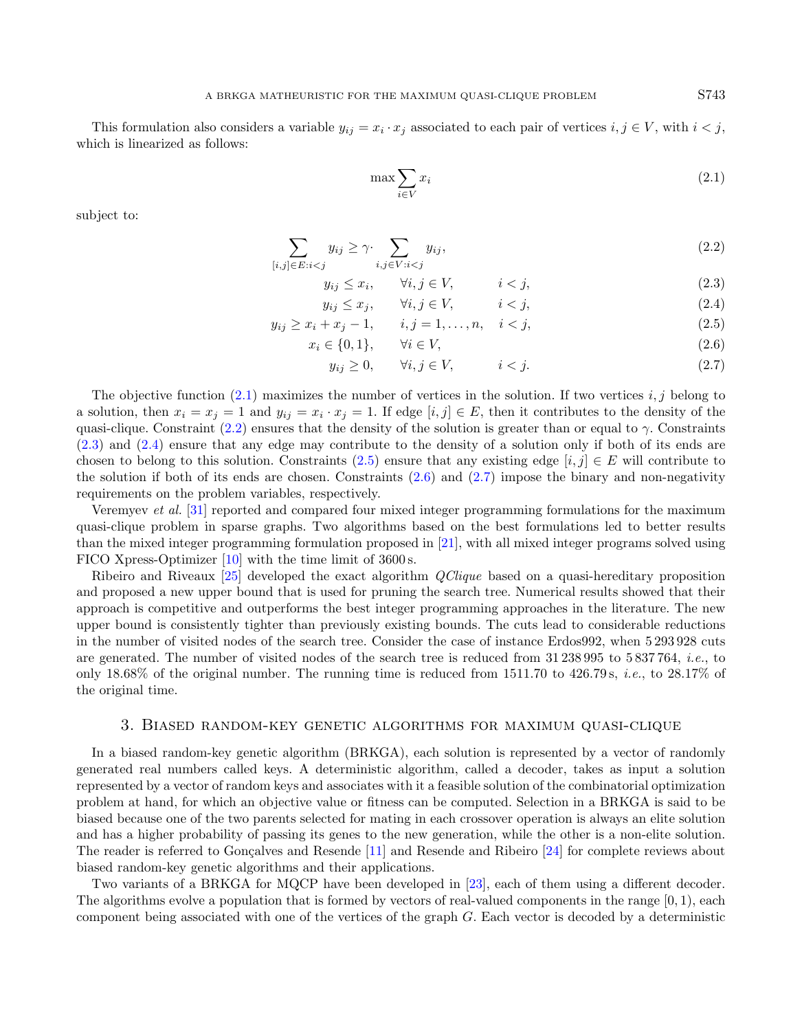<span id="page-2-1"></span>This formulation also considers a variable  $y_{ij} = x_i \cdot x_j$  associated to each pair of vertices  $i, j \in V$ , with  $i < j$ , which is linearized as follows:

<span id="page-2-7"></span><span id="page-2-6"></span><span id="page-2-5"></span><span id="page-2-4"></span><span id="page-2-3"></span><span id="page-2-2"></span>
$$
\max \sum_{i \in V} x_i \tag{2.1}
$$

subject to:

$$
\sum_{[i,j]\in E: i
$$

$$
y_{ij} \le x_i, \qquad \forall i, j \in V, \qquad i < j,
$$
\n
$$
(2.3)
$$

$$
y_{ij} \le x_j, \qquad \forall i, j \in V, \qquad i < j,
$$
\n
$$
(2.4)
$$

$$
y_{ij} \ge x_i + x_j - 1, \qquad i, j = 1, \dots, n, \quad i < j,
$$
\n<sup>(2.5)</sup>

$$
x_i \in \{0, 1\}, \qquad \forall i \in V,\tag{2.6}
$$

$$
y_{ij} \ge 0, \qquad \forall i, j \in V, \qquad i < j. \tag{2.7}
$$

The objective function  $(2.1)$  maximizes the number of vertices in the solution. If two vertices  $i, j$  belong to a solution, then  $x_i = x_j = 1$  and  $y_{ij} = x_i \cdot x_j = 1$ . If edge  $[i, j] \in E$ , then it contributes to the density of the quasi-clique. Constraint [\(2.2\)](#page-2-2) ensures that the density of the solution is greater than or equal to  $\gamma$ . Constraints [\(2.3\)](#page-2-3) and [\(2.4\)](#page-2-4) ensure that any edge may contribute to the density of a solution only if both of its ends are chosen to belong to this solution. Constraints [\(2.5\)](#page-2-5) ensure that any existing edge  $[i, j] \in E$  will contribute to the solution if both of its ends are chosen. Constraints  $(2.6)$  and  $(2.7)$  impose the binary and non-negativity requirements on the problem variables, respectively.

Veremyev et al. [\[31\]](#page-22-0) reported and compared four mixed integer programming formulations for the maximum quasi-clique problem in sparse graphs. Two algorithms based on the best formulations led to better results than the mixed integer programming formulation proposed in [\[21\]](#page-21-1), with all mixed integer programs solved using FICO Xpress-Optimizer [\[10\]](#page-21-9) with the time limit of 3600 s.

Ribeiro and Riveaux [\[25\]](#page-21-7) developed the exact algorithm QClique based on a quasi-hereditary proposition and proposed a new upper bound that is used for pruning the search tree. Numerical results showed that their approach is competitive and outperforms the best integer programming approaches in the literature. The new upper bound is consistently tighter than previously existing bounds. The cuts lead to considerable reductions in the number of visited nodes of the search tree. Consider the case of instance Erdos992, when 5 293 928 cuts are generated. The number of visited nodes of the search tree is reduced from 31 238 995 to 5 837 764, i.e., to only 18.68% of the original number. The running time is reduced from 1511.70 to 426.79 s, i.e., to 28.17% of the original time.

#### 3. Biased random-key genetic algorithms for maximum quasi-clique

<span id="page-2-0"></span>In a biased random-key genetic algorithm (BRKGA), each solution is represented by a vector of randomly generated real numbers called keys. A deterministic algorithm, called a decoder, takes as input a solution represented by a vector of random keys and associates with it a feasible solution of the combinatorial optimization problem at hand, for which an objective value or fitness can be computed. Selection in a BRKGA is said to be biased because one of the two parents selected for mating in each crossover operation is always an elite solution and has a higher probability of passing its genes to the new generation, while the other is a non-elite solution. The reader is referred to Gonçalves and Resende [\[11\]](#page-21-10) and Resende and Ribeiro [\[24\]](#page-21-11) for complete reviews about biased random-key genetic algorithms and their applications.

Two variants of a BRKGA for MQCP have been developed in [\[23\]](#page-21-6), each of them using a different decoder. The algorithms evolve a population that is formed by vectors of real-valued components in the range  $[0, 1)$ , each component being associated with one of the vertices of the graph G. Each vector is decoded by a deterministic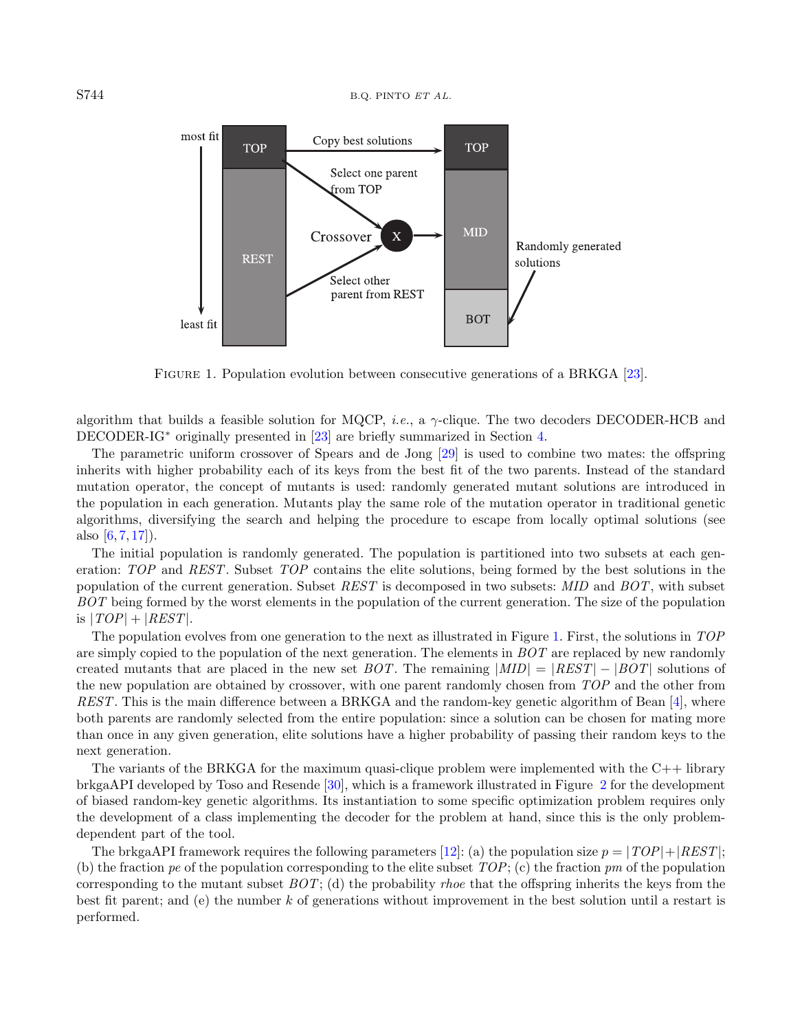

Figure 1. Population evolution between consecutive generations of a BRKGA [\[23\]](#page-21-6).

<span id="page-3-0"></span>algorithm that builds a feasible solution for MQCP, *i.e.*, a  $\gamma$ -clique. The two decoders DECODER-HCB and DECODER-IG<sup>∗</sup> originally presented in [\[23\]](#page-21-6) are briefly summarized in Section [4.](#page-4-0)

The parametric uniform crossover of Spears and de Jong [\[29\]](#page-22-1) is used to combine two mates: the offspring inherits with higher probability each of its keys from the best fit of the two parents. Instead of the standard mutation operator, the concept of mutants is used: randomly generated mutant solutions are introduced in the population in each generation. Mutants play the same role of the mutation operator in traditional genetic algorithms, diversifying the search and helping the procedure to escape from locally optimal solutions (see also  $[6, 7, 17]$  $[6, 7, 17]$  $[6, 7, 17]$  $[6, 7, 17]$  $[6, 7, 17]$ .

The initial population is randomly generated. The population is partitioned into two subsets at each generation: TOP and REST. Subset TOP contains the elite solutions, being formed by the best solutions in the population of the current generation. Subset REST is decomposed in two subsets: MID and BOT, with subset BOT being formed by the worst elements in the population of the current generation. The size of the population is  $|TOP| + |REST|$ .

The population evolves from one generation to the next as illustrated in Figure [1.](#page-3-0) First, the solutions in TOP are simply copied to the population of the next generation. The elements in  $BOT$  are replaced by new randomly created mutants that are placed in the new set  $BOT$ . The remaining  $|MID| = |REST| - |BOT|$  solutions of the new population are obtained by crossover, with one parent randomly chosen from TOP and the other from REST. This is the main difference between a BRKGA and the random-key genetic algorithm of Bean [\[4\]](#page-21-15), where both parents are randomly selected from the entire population: since a solution can be chosen for mating more than once in any given generation, elite solutions have a higher probability of passing their random keys to the next generation.

The variants of the BRKGA for the maximum quasi-clique problem were implemented with the  $C++$  library brkgaAPI developed by Toso and Resende [\[30\]](#page-22-2), which is a framework illustrated in Figure [2](#page-4-1) for the development of biased random-key genetic algorithms. Its instantiation to some specific optimization problem requires only the development of a class implementing the decoder for the problem at hand, since this is the only problemdependent part of the tool.

The brkgaAPI framework requires the following parameters [\[12\]](#page-21-16): (a) the population size  $p = |TOP| + |REST|$ ; (b) the fraction pe of the population corresponding to the elite subset  $TOP; (c)$  the fraction pm of the population corresponding to the mutant subset  $BOT$ ; (d) the probability *rhoe* that the offspring inherits the keys from the best fit parent; and (e) the number k of generations without improvement in the best solution until a restart is performed.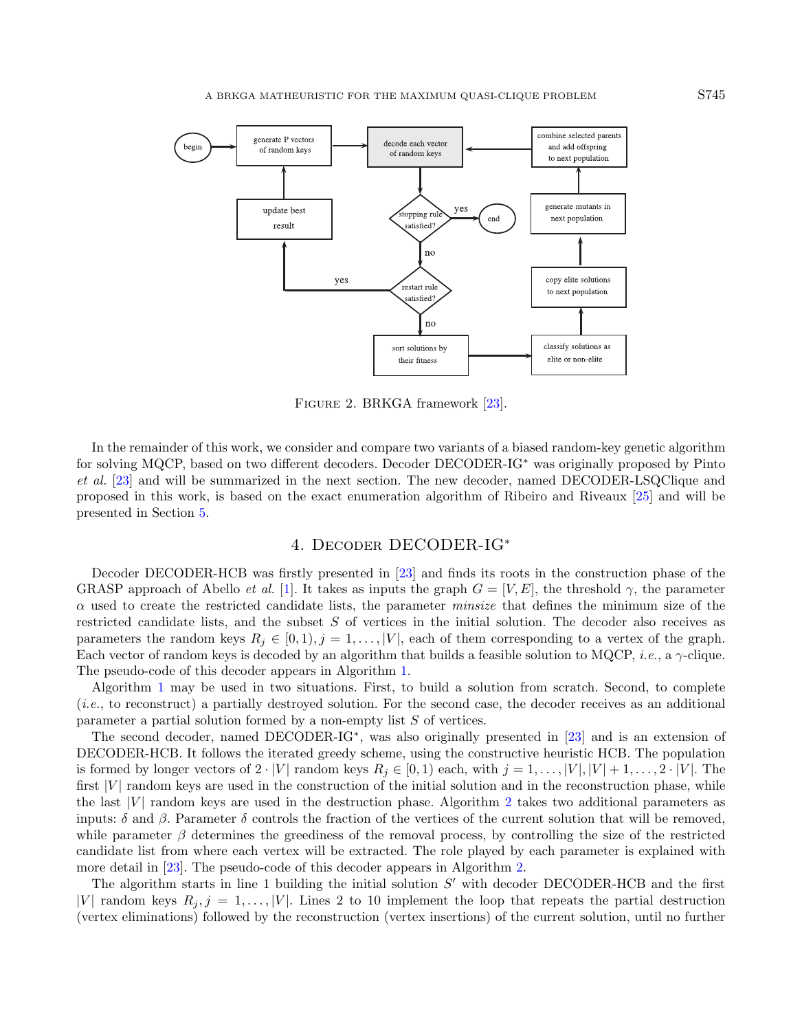

FIGURE 2. BRKGA framework [\[23\]](#page-21-6).

<span id="page-4-1"></span>In the remainder of this work, we consider and compare two variants of a biased random-key genetic algorithm for solving MQCP, based on two different decoders. Decoder DECODER-IG<sup>∗</sup> was originally proposed by Pinto et al. [\[23\]](#page-21-6) and will be summarized in the next section. The new decoder, named DECODER-LSQClique and proposed in this work, is based on the exact enumeration algorithm of Ribeiro and Riveaux [\[25\]](#page-21-7) and will be presented in Section [5.](#page-5-0)

# 4. Decoder DECODER-IG<sup>∗</sup>

<span id="page-4-0"></span>Decoder DECODER-HCB was firstly presented in [\[23\]](#page-21-6) and finds its roots in the construction phase of the GRASP approach of Abello *et al.* [\[1\]](#page-21-3). It takes as inputs the graph  $G = [V, E]$ , the threshold  $\gamma$ , the parameter  $\alpha$  used to create the restricted candidate lists, the parameter *minsize* that defines the minimum size of the restricted candidate lists, and the subset S of vertices in the initial solution. The decoder also receives as parameters the random keys  $R_j \in [0, 1), j = 1, \ldots, |V|$ , each of them corresponding to a vertex of the graph. Each vector of random keys is decoded by an algorithm that builds a feasible solution to MQCP, *i.e.*, a  $\gamma$ -clique. The pseudo-code of this decoder appears in Algorithm [1.](#page-5-1)

Algorithm [1](#page-5-1) may be used in two situations. First, to build a solution from scratch. Second, to complete (i.e., to reconstruct) a partially destroyed solution. For the second case, the decoder receives as an additional parameter a partial solution formed by a non-empty list S of vertices.

The second decoder, named DECODER-IG<sup>\*</sup>, was also originally presented in [\[23\]](#page-21-6) and is an extension of DECODER-HCB. It follows the iterated greedy scheme, using the constructive heuristic HCB. The population is formed by longer vectors of  $2 \cdot |V|$  random keys  $R_j \in [0,1)$  each, with  $j = 1, \ldots, |V|, |V| + 1, \ldots, 2 \cdot |V|$ . The first  $|V|$  random keys are used in the construction of the initial solution and in the reconstruction phase, while the last  $|V|$  random keys are used in the destruction phase. Algorithm [2](#page-5-2) takes two additional parameters as inputs:  $\delta$  and  $\beta$ . Parameter  $\delta$  controls the fraction of the vertices of the current solution that will be removed, while parameter  $\beta$  determines the greediness of the removal process, by controlling the size of the restricted candidate list from where each vertex will be extracted. The role played by each parameter is explained with more detail in [\[23\]](#page-21-6). The pseudo-code of this decoder appears in Algorithm [2.](#page-5-2)

The algorithm starts in line 1 building the initial solution  $S'$  with decoder DECODER-HCB and the first |V| random keys  $R_j$ , j = 1,..., |V|. Lines 2 to 10 implement the loop that repeats the partial destruction (vertex eliminations) followed by the reconstruction (vertex insertions) of the current solution, until no further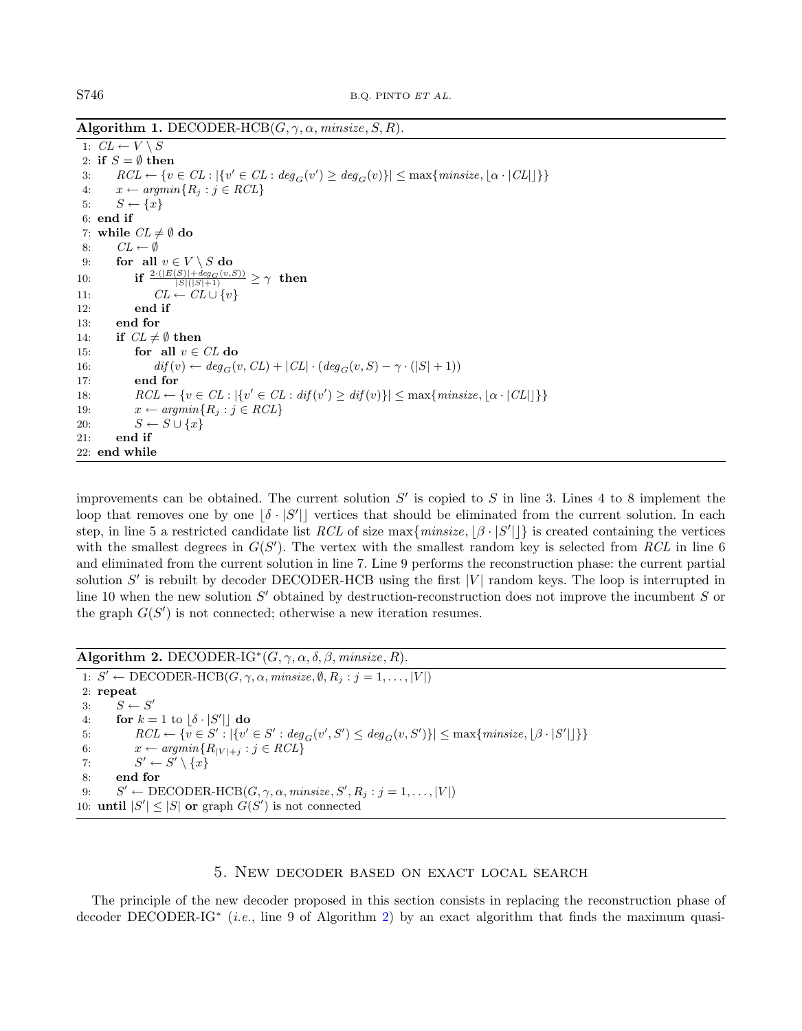Algorithm 1. DECODER-HCB $(G, \gamma, \alpha, \text{minsize}, S, R)$ .

<span id="page-5-1"></span>1:  $CL \leftarrow V \setminus S$ 2: if  $S = \emptyset$  then 3:  $RCL \leftarrow \{v \in CL : |\{v' \in CL : deg_G(v') \ge deg_G(v)\}| \le max\{\text{minsize}, \lfloor \alpha \cdot |CL| \rfloor\}\}\$ 4:  $x \leftarrow argmin\{R_j : j \in RCL\}$ 5:  $S \leftarrow \{x\}$ 6: end if 7: while  $CL \neq \emptyset$  do 8:  $CL \leftarrow \emptyset$ 9: for all  $v \in V \setminus S$  do 10: **if**  $\frac{2 \cdot (|E(S)| + deg_G(v, S))}{|S|(|S| + 1)} \ge \gamma$  then 11:  $CL \leftarrow CL \cup \{v\}$ 12: end if 13: end for 14: if  $CL \neq \emptyset$  then 15: for all  $v \in CL$  do 16:  $diff(v) \leftarrow deg_G(v, CL) + |CL| \cdot (deg_G(v, S) - \gamma \cdot (|S| + 1))$ 17: end for 18:  $RCL \leftarrow \{v \in CL : |\{v' \in CL : \text{dif}(v') \geq \text{dif}(v)\}| \leq \max\{\text{minsize}, |\alpha \cdot |CL| \} \}$ 19:  $x \leftarrow argmin\{R_i : j \in RCL\}$ 20:  $S \leftarrow S \cup \{x\}$ 21: end if 22: end while

improvements can be obtained. The current solution  $S'$  is copied to S in line 3. Lines 4 to 8 implement the loop that removes one by one  $\delta \cdot |S'|$  vertices that should be eliminated from the current solution. In each step, in line 5 a restricted candidate list RCL of size max $\{minsize, \lfloor \beta \cdot |S'| \rfloor\}$  is created containing the vertices with the smallest degrees in  $G(S')$ . The vertex with the smallest random key is selected from RCL in line 6 and eliminated from the current solution in line 7. Line 9 performs the reconstruction phase: the current partial solution  $S'$  is rebuilt by decoder DECODER-HCB using the first  $|V|$  random keys. The loop is interrupted in line 10 when the new solution  $S'$  obtained by destruction-reconstruction does not improve the incumbent  $S$  or the graph  $G(S')$  is not connected; otherwise a new iteration resumes.

Algorithm 2. DECODER-IG<sup>\*</sup> $(G, \gamma, \alpha, \delta, \beta,$ *minsize, R*).

<span id="page-5-2"></span>1:  $S' \leftarrow \text{DECODER-HCB}(G, \gamma, \alpha, \text{minsize}, \emptyset, R_j : j = 1, ..., |V|)$ 2: repeat 3:  $S \leftarrow S'$ 4: for  $k = 1$  to  $\delta \cdot |S'|$  do 5:  $RCL \leftarrow \{ v \in S' : |\{ v' \in S' : deg_G(v', S') \le deg_G(v, S') \}| \le max\{minsize, \lfloor \beta \cdot |S'|\rfloor \} \}$ 6:  $x \leftarrow argmin\{R_{|V|+j} : j \in RCL\}$ 7:  $S' \leftarrow S' \setminus \{x\}$ 8: end for 9:  $S' \leftarrow \text{DECODER-HCB}(G, \gamma, \alpha, \text{minsize}, S', R_j : j = 1, \dots, |V|)$ 10: **until**  $|S'| \leq |S|$  or graph  $G(S')$  is not connected

## 5. New decoder based on exact local search

<span id="page-5-0"></span>The principle of the new decoder proposed in this section consists in replacing the reconstruction phase of decoder DECODER-IG<sup>\*</sup> (*i.e.*, line 9 of Algorithm [2\)](#page-5-2) by an exact algorithm that finds the maximum quasi-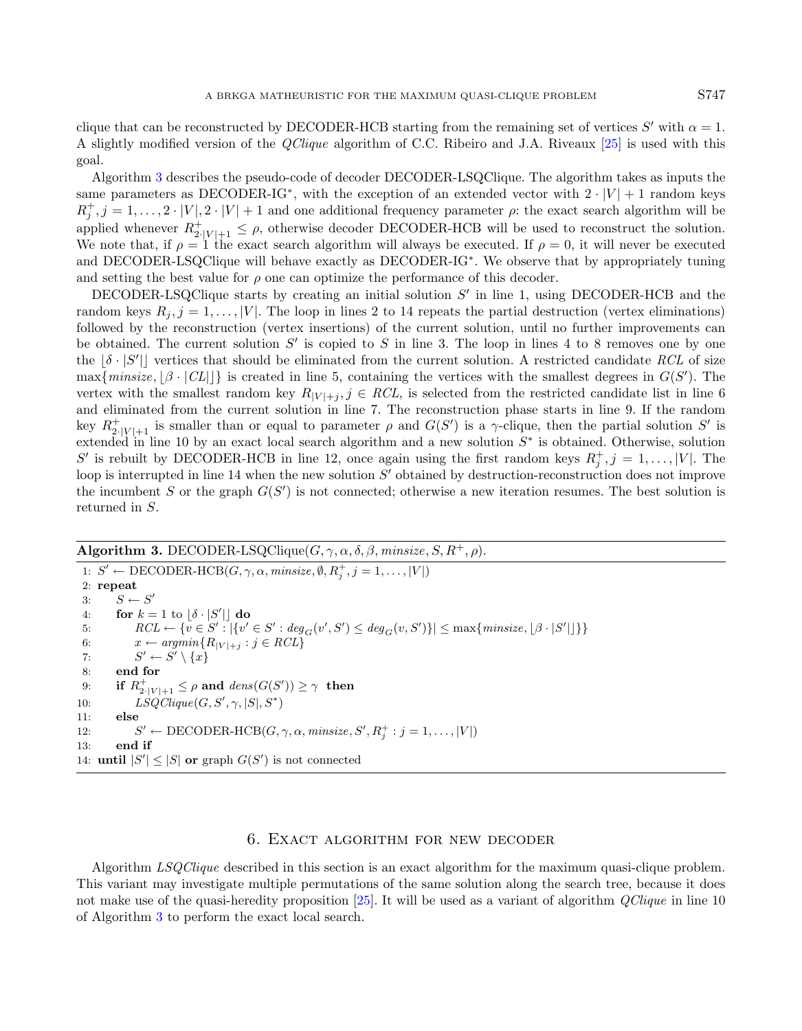clique that can be reconstructed by DECODER-HCB starting from the remaining set of vertices  $S'$  with  $\alpha = 1$ . A slightly modified version of the QClique algorithm of C.C. Ribeiro and J.A. Riveaux [\[25\]](#page-21-7) is used with this goal.

Algorithm [3](#page-6-1) describes the pseudo-code of decoder DECODER-LSQClique. The algorithm takes as inputs the same parameters as DECODER-IG<sup>\*</sup>, with the exception of an extended vector with  $2 \cdot |V| + 1$  random keys  $R_j^+, j = 1, \ldots, 2 \cdot |V|, 2 \cdot |V| + 1$  and one additional frequency parameter  $\rho$ : the exact search algorithm will be applied whenever  $R_{2|V|+1}^+ \leq \rho$ , otherwise decoder DECODER-HCB will be used to reconstruct the solution. We note that, if  $\rho = 1$  the exact search algorithm will always be executed. If  $\rho = 0$ , it will never be executed and DECODER-LSQClique will behave exactly as DECODER-IG<sup>∗</sup> . We observe that by appropriately tuning and setting the best value for  $\rho$  one can optimize the performance of this decoder.

DECODER-LSQClique starts by creating an initial solution  $S'$  in line 1, using DECODER-HCB and the random keys  $R_j$ ,  $j = 1, ..., |V|$ . The loop in lines 2 to 14 repeats the partial destruction (vertex eliminations) followed by the reconstruction (vertex insertions) of the current solution, until no further improvements can be obtained. The current solution  $S'$  is copied to S in line 3. The loop in lines 4 to 8 removes one by one the  $[\delta \cdot |S'|]$  vertices that should be eliminated from the current solution. A restricted candidate RCL of size max $\{minsize, [\beta \cdot | CL|]\}$  is created in line 5, containing the vertices with the smallest degrees in  $G(S')$ . The vertex with the smallest random key  $R_{|V|+j}$ ,  $j \in RCL$ , is selected from the restricted candidate list in line 6 and eliminated from the current solution in line 7. The reconstruction phase starts in line 9. If the random key  $R_{2|V|+1}^+$  is smaller than or equal to parameter  $\rho$  and  $G(S')$  is a  $\gamma$ -clique, then the partial solution  $S'$  is extended in line 10 by an exact local search algorithm and a new solution  $S^*$  is obtained. Otherwise, solution S' is rebuilt by DECODER-HCB in line 12, once again using the first random keys  $R_j^+, j = 1, \ldots, |V|$ . The loop is interrupted in line 14 when the new solution  $S'$  obtained by destruction-reconstruction does not improve the incumbent S or the graph  $G(S')$  is not connected; otherwise a new iteration resumes. The best solution is returned in S.

# Algorithm 3. DECODER-LSQClique $(G, \gamma, \alpha, \delta, \beta,$  minsize,  $S, R^+$ ,  $\rho$ ).

<span id="page-6-1"></span>1:  $S' \leftarrow \text{DECODER-HCB}(G, \gamma, \alpha, \text{minsize}, \emptyset, R_j^+, j = 1, \dots, |V|)$ 2: repeat 3:  $S \leftarrow S'$ 4: for  $k = 1$  to  $\delta \cdot |S'|$  do 5:  $RCL \leftarrow \{v \in S' : |\{v' \in S' : deg_G(v', S') \le deg_G(v, S')\}| \le max\{minsize, \lfloor \beta \cdot |S'|\rfloor\}\}$ 6:  $x \leftarrow argmin\{R_{|V|+j} : j \in RCL\}$  $7:$  $\mathscr{O}' \leftarrow S' \setminus \{x\}$ 8: end for 9: if  $R_{2\cdot |V|+1}^+ \le \rho$  and  $dens(G(S')) \ge \gamma$  then 10:  $LSQClique(G, S', \gamma, |S|, S^*)$ 11: else  $12:$  $O' \leftarrow \text{DECODER-HCB}(G, \gamma, \alpha, \text{minsize}, S', R_j^+ : j = 1, \ldots, |V|)$ 13: end if 14: **until**  $|S'| \leq |S|$  or graph  $G(S')$  is not connected

## 6. Exact algorithm for new decoder

<span id="page-6-0"></span>Algorithm LSQClique described in this section is an exact algorithm for the maximum quasi-clique problem. This variant may investigate multiple permutations of the same solution along the search tree, because it does not make use of the quasi-heredity proposition [\[25\]](#page-21-7). It will be used as a variant of algorithm *QClique* in line 10 of Algorithm [3](#page-6-1) to perform the exact local search.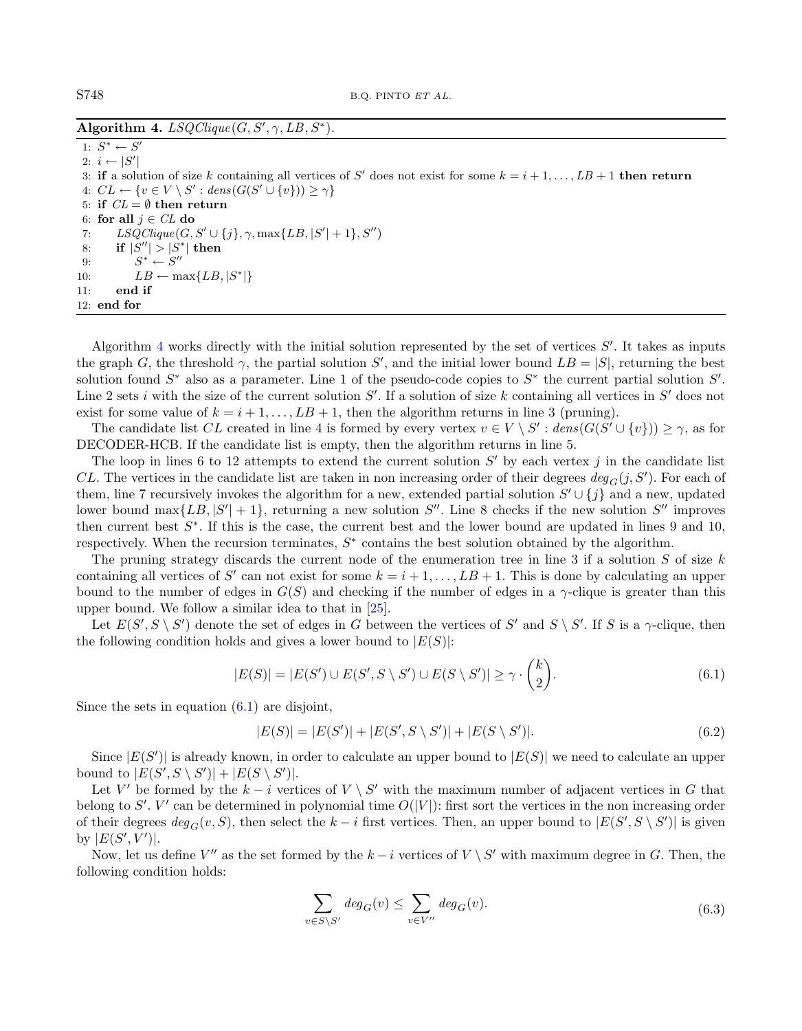Algorithm 4.  $LSQClique(G, S', \gamma, LB, S^*)$ .

<span id="page-7-0"></span>1:  $S^* \leftarrow S'$ 2:  $i \leftarrow |S'|$ 3: if a solution of size k containing all vertices of S' does not exist for some  $k = i + 1, ..., LB + 1$  then return 4:  $CL \leftarrow \{v \in V \setminus S' : dens(G(S' \cup \{v\})) \ge \gamma\}$ 5: if  $CL = \emptyset$  then return 6: for all  $j \in CL$  do 7:  $LSQClique(G, S' \cup \{j\}, \gamma, max\{LB, |S'| + 1\}, S'')$ 8: if  $|S''| > |S^*|$  then 9:  $S^* \leftarrow S''$ 10:  $LB \leftarrow \max\{LB, |S^*|\}$ 11: end if 12: end for

Algorithm [4](#page-7-0) works directly with the initial solution represented by the set of vertices  $S'$ . It takes as inputs the graph G, the threshold  $\gamma$ , the partial solution S', and the initial lower bound  $LB = |S|$ , returning the best solution found  $S^*$  also as a parameter. Line 1 of the pseudo-code copies to  $S^*$  the current partial solution  $S'$ . Line 2 sets *i* with the size of the current solution  $S'$ . If a solution of size k containing all vertices in  $S'$  does not exist for some value of  $k = i + 1, \ldots, LB + 1$ , then the algorithm returns in line 3 (pruning).

The candidate list CL created in line 4 is formed by every vertex  $v \in V \setminus S'$ :  $dens(G(S' \cup \{v\})) \ge \gamma$ , as for DECODER-HCB. If the candidate list is empty, then the algorithm returns in line 5.

The loop in lines 6 to 12 attempts to extend the current solution  $S'$  by each vertex j in the candidate list CL. The vertices in the candidate list are taken in non increasing order of their degrees  $deg_G(j, S')$ . For each of them, line 7 recursively invokes the algorithm for a new, extended partial solution  $S' \cup \{j\}$  and a new, updated lower bound max $\{LB, |S'|+1\}$ , returning a new solution  $S''$ . Line 8 checks if the new solution  $S''$  improves then current best  $S^*$ . If this is the case, the current best and the lower bound are updated in lines 9 and 10, respectively. When the recursion terminates,  $S^*$  contains the best solution obtained by the algorithm.

The pruning strategy discards the current node of the enumeration tree in line 3 if a solution  $S$  of size  $k$ containing all vertices of S' can not exist for some  $k = i + 1, \ldots, LB + 1$ . This is done by calculating an upper bound to the number of edges in  $G(S)$  and checking if the number of edges in a  $\gamma$ -clique is greater than this upper bound. We follow a similar idea to that in [\[25\]](#page-21-7).

Let  $E(S', S \setminus S')$  denote the set of edges in G between the vertices of S' and  $S \setminus S'$ . If S is a  $\gamma$ -clique, then the following condition holds and gives a lower bound to  $|E(S)|$ :

<span id="page-7-1"></span>
$$
|E(S)| = |E(S') \cup E(S', S \setminus S') \cup E(S \setminus S')| \ge \gamma \cdot {k \choose 2}.
$$
\n
$$
(6.1)
$$

Since the sets in equation  $(6.1)$  are disjoint,

$$
|E(S)| = |E(S')| + |E(S', S \setminus S')| + |E(S \setminus S')|.
$$
\n(6.2)

Since  $|E(S')|$  is already known, in order to calculate an upper bound to  $|E(S)|$  we need to calculate an upper bound to  $|E(S', S \setminus S')| + |E(S \setminus S')|$ .

Let V' be formed by the  $k-i$  vertices of  $V \setminus S'$  with the maximum number of adjacent vertices in G that belong to S'. V' can be determined in polynomial time  $O(|V|)$ : first sort the vertices in the non increasing order of their degrees  $deg_G(v, S)$ , then select the  $k - i$  first vertices. Then, an upper bound to  $|E(S', S \setminus S')|$  is given by  $|E(S', V')|$ .

Now, let us define  $V''$  as the set formed by the  $k-i$  vertices of  $V \setminus S'$  with maximum degree in G. Then, the following condition holds:

$$
\sum_{v \in S \setminus S'} \deg_G(v) \le \sum_{v \in V''} \deg_G(v). \tag{6.3}
$$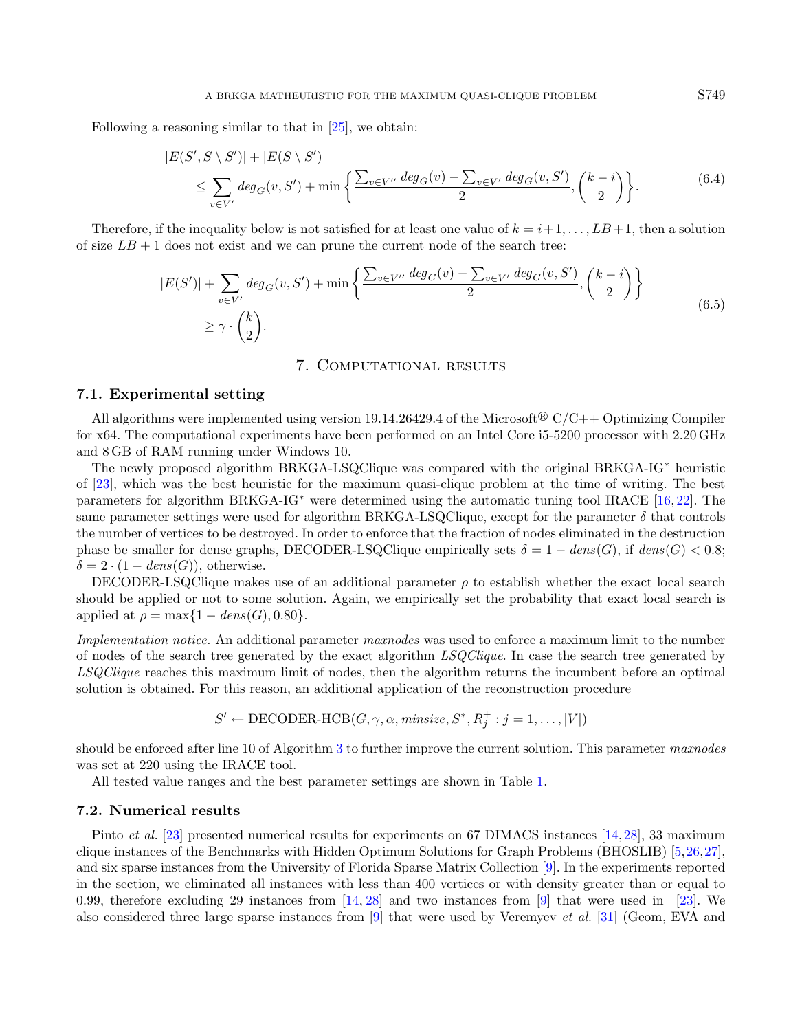Following a reasoning similar to that in [\[25\]](#page-21-7), we obtain:

$$
|E(S', S \setminus S')| + |E(S \setminus S')|
$$
  
\n
$$
\leq \sum_{v \in V'} deg_G(v, S') + \min \left\{ \frac{\sum_{v \in V'} deg_G(v) - \sum_{v \in V'} deg_G(v, S')}{2}, \binom{k-i}{2} \right\}.
$$
 (6.4)

Therefore, if the inequality below is not satisfied for at least one value of  $k = i+1, \ldots, LB+1$ , then a solution of size  $LB + 1$  does not exist and we can prune the current node of the search tree:

$$
|E(S')| + \sum_{v \in V'} deg_G(v, S') + \min\left\{\frac{\sum_{v \in V''} deg_G(v) - \sum_{v \in V'} deg_G(v, S')}{2}, \binom{k-i}{2}\right\}
$$
  
 
$$
\geq \gamma \cdot \binom{k}{2}.
$$
 (6.5)

## 7. Computational results

## <span id="page-8-0"></span>7.1. Experimental setting

All algorithms were implemented using version 19.14.26429.4 of the Microsoft<sup>®</sup>  $C/C++$  Optimizing Compiler for x64. The computational experiments have been performed on an Intel Core i5-5200 processor with 2.20 GHz and 8 GB of RAM running under Windows 10.

The newly proposed algorithm BRKGA-LSQClique was compared with the original BRKGA-IG<sup>∗</sup> heuristic of [\[23\]](#page-21-6), which was the best heuristic for the maximum quasi-clique problem at the time of writing. The best parameters for algorithm BRKGA-IG<sup>∗</sup> were determined using the automatic tuning tool IRACE [\[16,](#page-21-17) [22\]](#page-21-18). The same parameter settings were used for algorithm BRKGA-LSQClique, except for the parameter  $\delta$  that controls the number of vertices to be destroyed. In order to enforce that the fraction of nodes eliminated in the destruction phase be smaller for dense graphs, DECODER-LSQClique empirically sets  $\delta = 1 - dens(G)$ , if  $dens(G) < 0.8$ ;  $\delta = 2 \cdot (1 - dens(G))$ , otherwise.

DECODER-LSQClique makes use of an additional parameter  $\rho$  to establish whether the exact local search should be applied or not to some solution. Again, we empirically set the probability that exact local search is applied at  $\rho = \max\{1 - dens(G), 0.80\}.$ 

Implementation notice. An additional parameter maxnodes was used to enforce a maximum limit to the number of nodes of the search tree generated by the exact algorithm LSQClique. In case the search tree generated by LSQClique reaches this maximum limit of nodes, then the algorithm returns the incumbent before an optimal solution is obtained. For this reason, an additional application of the reconstruction procedure

$$
S' \leftarrow \text{DECODER-HCB}(G, \gamma, \alpha, \text{minsize}, S^*, R_j^+ : j = 1, ..., |V|)
$$

should be enforced after line 10 of Algorithm [3](#page-6-1) to further improve the current solution. This parameter maxnodes was set at 220 using the IRACE tool.

All tested value ranges and the best parameter settings are shown in Table [1.](#page-9-0)

#### 7.2. Numerical results

Pinto *et al.* [\[23\]](#page-21-6) presented numerical results for experiments on 67 DIMACS instances [\[14,](#page-21-19) [28\]](#page-22-3), 33 maximum clique instances of the Benchmarks with Hidden Optimum Solutions for Graph Problems (BHOSLIB) [\[5,](#page-21-20)[26,](#page-21-21)[27\]](#page-22-4), and six sparse instances from the University of Florida Sparse Matrix Collection [\[9\]](#page-21-22). In the experiments reported in the section, we eliminated all instances with less than 400 vertices or with density greater than or equal to 0.99, therefore excluding 29 instances from  $[14, 28]$  $[14, 28]$  $[14, 28]$  and two instances from [\[9\]](#page-21-22) that were used in [\[23\]](#page-21-6). We also considered three large sparse instances from [\[9\]](#page-21-22) that were used by Veremyev et al. [\[31\]](#page-22-0) (Geom, EVA and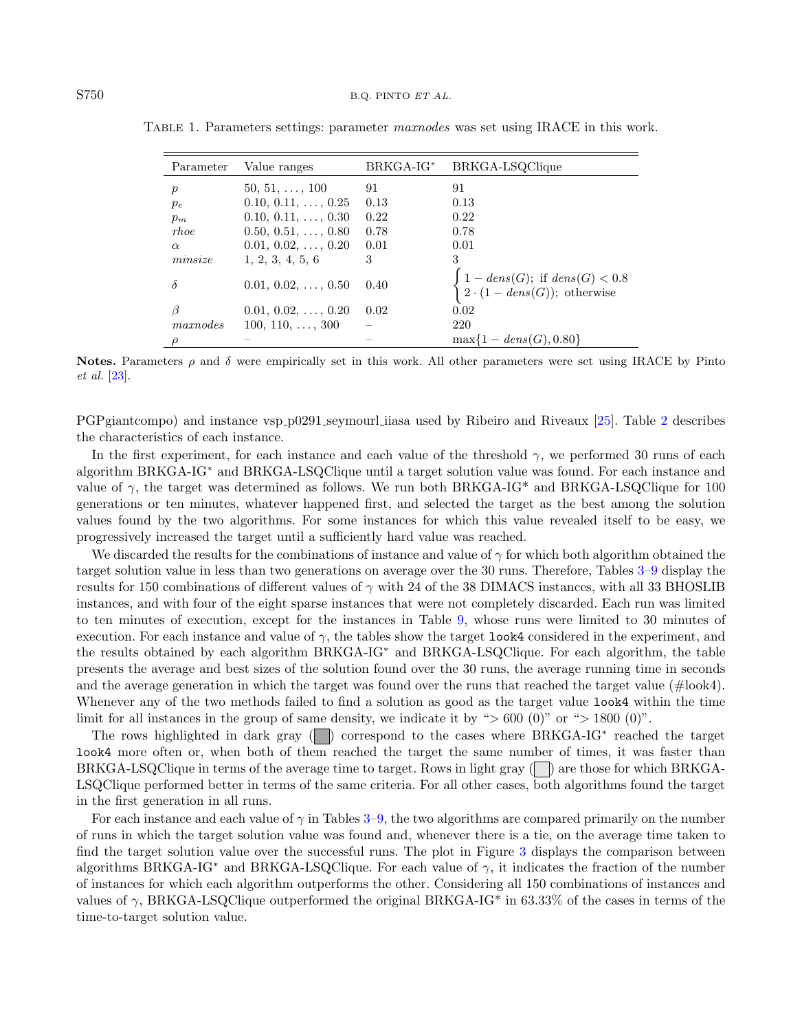| Parameter        | Value ranges               | $B R K G A - I G^*$ | BRKGA-LSQClique                                                                                                |
|------------------|----------------------------|---------------------|----------------------------------------------------------------------------------------------------------------|
| $\boldsymbol{p}$ | $50, 51, \ldots, 100$      | 91                  | 91                                                                                                             |
| $p_e$            | $0.10, 0.11, \ldots, 0.25$ | 0.13                | 0.13                                                                                                           |
| $p_m$            | $0.10, 0.11, \ldots, 0.30$ | 0.22                | 0.22                                                                                                           |
| rhoe             | $0.50, 0.51, \ldots, 0.80$ | 0.78                | 0.78                                                                                                           |
| $\alpha$         | $0.01, 0.02, \ldots, 0.20$ | 0.01                | 0.01                                                                                                           |
| minsize          | 1, 2, 3, 4, 5, 6           | 3                   | 3                                                                                                              |
| δ                | $0.01, 0.02, \ldots, 0.50$ | 0.40                | $\begin{cases} 1 - dens(G); \text{ if } dens(G) < 0.8 \\ 2 \cdot (1 - dens(G)); \text{ otherwise} \end{cases}$ |
|                  | $0.01, 0.02, \ldots, 0.20$ | 0.02                | 0.02                                                                                                           |
| maxnodes         | $100, 110, \ldots, 300$    |                     | 220                                                                                                            |
| ρ                |                            |                     | $\max\{1 - dens(G), 0.80\}$                                                                                    |

<span id="page-9-0"></span>TABLE 1. Parameters settings: parameter maxnodes was set using IRACE in this work.

Notes. Parameters  $\rho$  and  $\delta$  were empirically set in this work. All other parameters were set using IRACE by Pinto et al. [\[23\]](#page-21-6).

PGPgiantcompo) and instance vsp p0291 seymourl iiasa used by Ribeiro and Riveaux [\[25\]](#page-21-7). Table [2](#page-10-0) describes the characteristics of each instance.

In the first experiment, for each instance and each value of the threshold  $\gamma$ , we performed 30 runs of each algorithm BRKGA-IG<sup>∗</sup> and BRKGA-LSQClique until a target solution value was found. For each instance and value of  $\gamma$ , the target was determined as follows. We run both BRKGA-IG<sup>\*</sup> and BRKGA-LSQClique for 100 generations or ten minutes, whatever happened first, and selected the target as the best among the solution values found by the two algorithms. For some instances for which this value revealed itself to be easy, we progressively increased the target until a sufficiently hard value was reached.

We discarded the results for the combinations of instance and value of  $\gamma$  for which both algorithm obtained the target solution value in less than two generations on average over the 30 runs. Therefore, Tables [3](#page-11-0)[–9](#page-17-0) display the results for 150 combinations of different values of  $\gamma$  with 24 of the 38 DIMACS instances, with all 33 BHOSLIB instances, and with four of the eight sparse instances that were not completely discarded. Each run was limited to ten minutes of execution, except for the instances in Table [9,](#page-17-0) whose runs were limited to 30 minutes of execution. For each instance and value of  $\gamma$ , the tables show the target look4 considered in the experiment, and the results obtained by each algorithm BRKGA-IG<sup>∗</sup> and BRKGA-LSQClique. For each algorithm, the table presents the average and best sizes of the solution found over the 30 runs, the average running time in seconds and the average generation in which the target was found over the runs that reached the target value (#look4). Whenever any of the two methods failed to find a solution as good as the target value look4 within the time limit for all instances in the group of same density, we indicate it by " $> 600$  (0)" or " $> 1800$  (0)".

The rows highlighted in dark gray (■) correspond to the cases where BRKGA-IG<sup>\*</sup> reached the target look4 more often or, when both of them reached the target the same number of times, it was faster than BRKGA-LSQClique in terms of the average time to target. Rows in light gray  $\Box$  are those for which BRKGA-LSQClique performed better in terms of the same criteria. For all other cases, both algorithms found the target in the first generation in all runs.

For each instance and each value of  $\gamma$  in Tables [3–](#page-11-0)[9,](#page-17-0) the two algorithms are compared primarily on the number of runs in which the target solution value was found and, whenever there is a tie, on the average time taken to find the target solution value over the successful runs. The plot in Figure [3](#page-18-0) displays the comparison between algorithms BRKGA-IG<sup>\*</sup> and BRKGA-LSQClique. For each value of  $\gamma$ , it indicates the fraction of the number of instances for which each algorithm outperforms the other. Considering all 150 combinations of instances and values of  $\gamma$ , BRKGA-LSQClique outperformed the original BRKGA-IG<sup>\*</sup> in 63.33% of the cases in terms of the time-to-target solution value.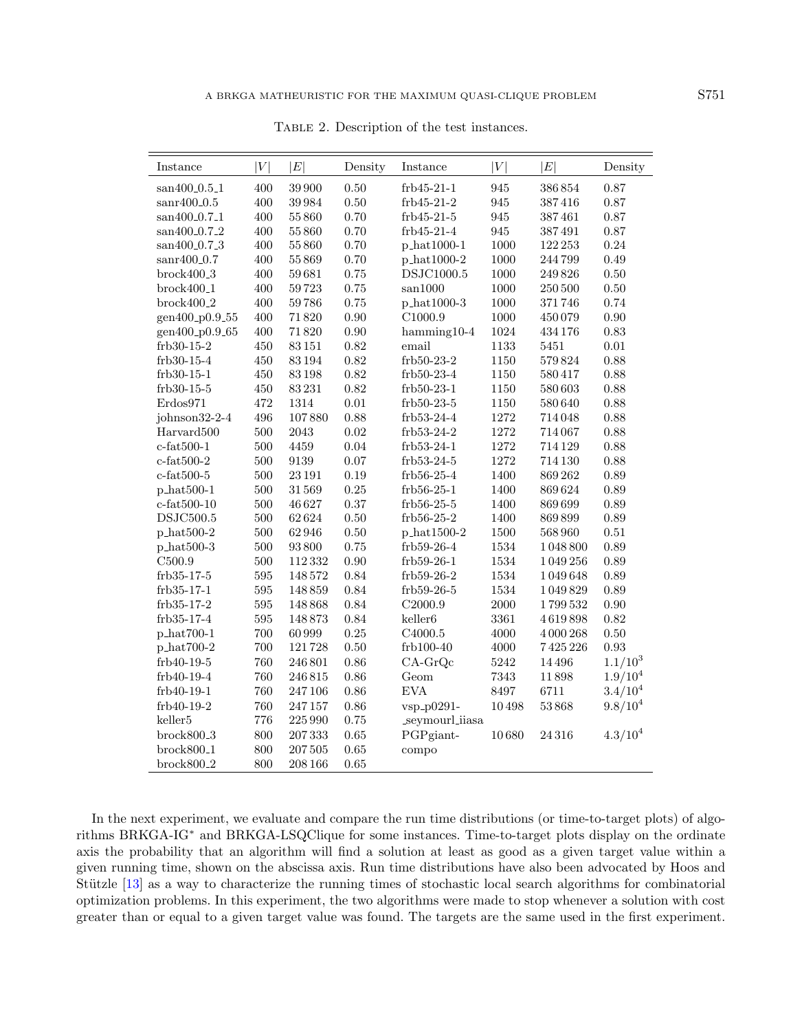<span id="page-10-0"></span>

| Instance                           | V       | E         | Density    | Instance            | V        | E         | Density      |
|------------------------------------|---------|-----------|------------|---------------------|----------|-----------|--------------|
| san400_0.5_1                       | 400     | 39 900    | 0.50       | frb45-21-1          | 945      | 386854    | 0.87         |
| $\mathrm{sanr}400 \text{--} 0.5$   | 400     | 39984     | 0.50       | frb45-21-2          | 945      | 387416    | 0.87         |
| san400_0.7_1                       | 400     | 55860     | 0.70       | $frb45-21-5$        | 945      | 387461    | $0.87\,$     |
| san400_0.7_2                       | 400     | 55860     | 0.70       | frb45-21-4          | 945      | 387491    | 0.87         |
| san400 <sub>-0.7-3</sub>           | 400     | 55860     | 0.70       | p_hat1000-1         | 1000     | 122 253   | $\rm 0.24$   |
| $sanr400_0.7$                      | 400     | 55869     | 0.70       | p_hat1000-2         | 1000     | 244799    | 0.49         |
| $brock400_3$                       | 400     | 59681     | 0.75       | DSJC1000.5          | 1000     | 249826    | 0.50         |
| $brock400_1$                       | 400     | 59723     | 0.75       | san1000             | 1000     | 250 500   | $0.50\,$     |
| $brock400_2$                       | 400     | 59786     | 0.75       | p_hat1000-3         | 1000     | 371746    | 0.74         |
| gen400_p0.9_55                     | 400     | 71820     | 0.90       | C1000.9             | 1000     | 450079    | 0.90         |
| gen400_p0.9_65                     | 400     | 71820     | $0.90\,$   | $hamming 10-4$      | 1024     | 434176    | 0.83         |
| frb30-15-2                         | 450     | 83151     | 0.82       | email               | 1133     | 5451      | 0.01         |
| $frb30-15-4$                       | 450     | $83\,194$ | 0.82       | $frb50-23-2$        | 1150     | 579824    | 0.88         |
| $ftb30-15-1$                       | 450     | 83198     | 0.82       | $frb50-23-4$        | 1150     | 580417    | 0.88         |
| frb30-15-5                         | 450     | 83231     | 0.82       | $frb50-23-1$        | 1150     | 580 603   | 0.88         |
| Erdos971                           | 472     | 1314      | $\rm 0.01$ | $frb50-23-5$        | 1150     | 580640    | 0.88         |
| johnson32-2-4                      | 496     | 107880    | 0.88       | frb53-24-4          | 1272     | 714048    | 0.88         |
| Harvard500                         | 500     | 2043      | $\rm 0.02$ | $frb53-24-2$        | $1272\,$ | 714067    | 0.88         |
| $c$ -fat $500-1$                   | 500     | 4459      | 0.04       | frb53-24-1          | $1272\,$ | 714 129   | 0.88         |
| $c$ -fat $500-2$                   | 500     | 9139      | 0.07       | frb53-24-5          | 1272     | 714 130   | 0.88         |
| $\operatorname{c-fat}500\text{-}5$ | 500     | $23\,191$ | 0.19       | $frb56-25-4$        | 1400     | 869262    | 0.89         |
| $p_{\text{hat500-1}}$              | 500     | 31569     | 0.25       | $frb56-25-1$        | 1400     | 869624    | 0.89         |
| $c$ -fat $500$ -10                 | 500     | 46627     | 0.37       | $ftb56-25-5$        | 1400     | 869699    | 0.89         |
| $\mathrm{DSJC}500.5$               | 500     | 62624     | $0.50\,$   | $frb56-25-2$        | 1400     | 869899    | $0.89\,$     |
| $p_{\text{hat500-2}}$              | 500     | 62946     | $0.50\,$   | p_hat1500-2         | 1500     | 568960    | 0.51         |
| $p_{hat500-3}$                     | 500     | 93800     | 0.75       | frb59-26-4          | 1534     | 1048800   | 0.89         |
| C <sub>500.9</sub>                 | $500\,$ | 112332    | $0.90\,$   | frb59-26-1          | 1534     | 1049256   | 0.89         |
| frb35-17-5                         | 595     | 148572    | 0.84       | $frb59-26-2$        | 1534     | 1049648   | 0.89         |
| frb35-17-1                         | 595     | 148859    | 0.84       | frb59-26-5          | 1534     | 1049829   | 0.89         |
| $ftb35-17-2$                       | 595     | 148868    | 0.84       | C2000.9             | 2000     | 1799532   | 0.90         |
| frb35-17-4                         | 595     | 148873    | 0.84       | keller <sub>6</sub> | 3361     | 4619898   | 0.82         |
| p_hat700-1                         | 700     | 60999     | 0.25       | C4000.5             | 4000     | 4 000 268 | $0.50\,$     |
| $p_{\text{hat700-2}}$              | 700     | 121728    | 0.50       | $f$ rb $100-40$     | 4000     | 7425226   | 0.93         |
| frb40-19-5                         | 760     | 246 801   | 0.86       | $CA-GrQc$           | $5242\,$ | 14496     | $1.1/10^{3}$ |
| frb40-19-4                         | 760     | 246815    | 0.86       | Geom                | 7343     | 11898     | $1.9/10^{4}$ |
| frb40-19-1                         | 760     | 247106    | 0.86       | <b>EVA</b>          | 8497     | 6711      | $3.4/10^{4}$ |
| frb40-19-2                         | 760     | 247157    | 0.86       | vsp_p0291-          | 10498    | 53868     | $9.8/10^{4}$ |
| keller <sub>5</sub>                | 776     | 225990    | 0.75       | _seymourl_iiasa     |          |           |              |
| $brock800_3$                       | 800     | 207 333   | 0.65       | PGPgiant-           | 10680    | 24316     | $4.3/10^{4}$ |
| $brock800_1$                       | 800     | 207 505   | 0.65       | compo               |          |           |              |
| $brock800_2$                       | 800     | 208 166   | 0.65       |                     |          |           |              |

Table 2. Description of the test instances.

In the next experiment, we evaluate and compare the run time distributions (or time-to-target plots) of algorithms BRKGA-IG<sup>∗</sup> and BRKGA-LSQClique for some instances. Time-to-target plots display on the ordinate axis the probability that an algorithm will find a solution at least as good as a given target value within a given running time, shown on the abscissa axis. Run time distributions have also been advocated by Hoos and Stützle  $[13]$  as a way to characterize the running times of stochastic local search algorithms for combinatorial optimization problems. In this experiment, the two algorithms were made to stop whenever a solution with cost greater than or equal to a given target value was found. The targets are the same used in the first experiment.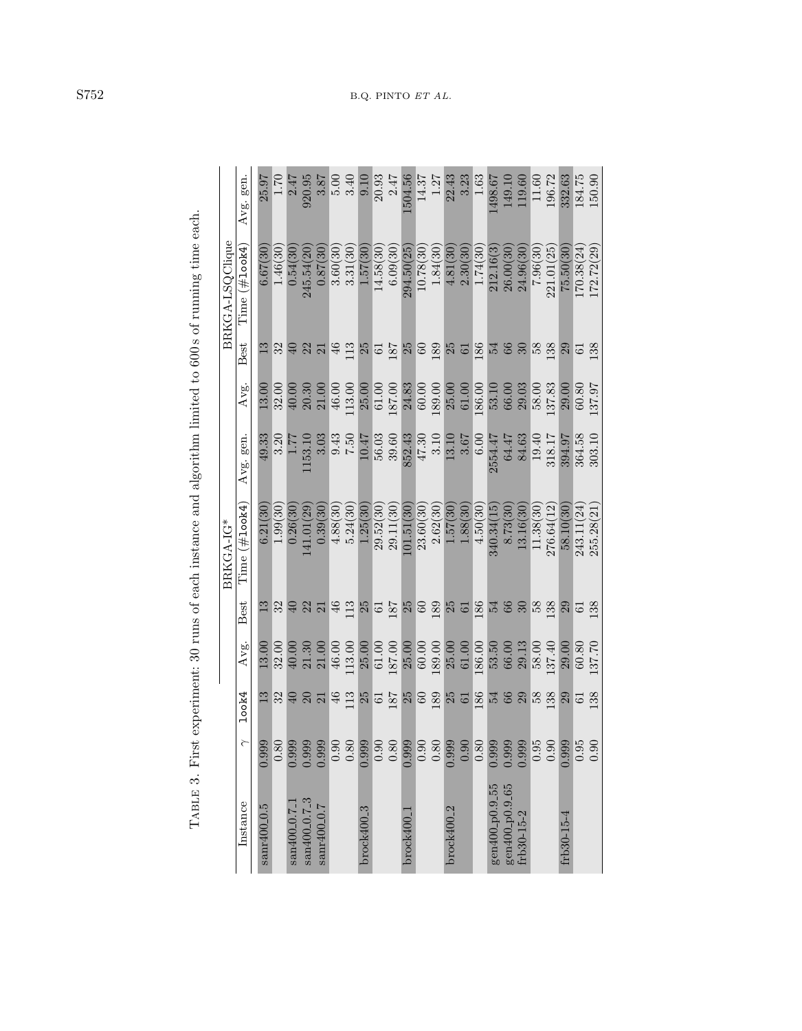|                                                       |          |                  |        |                                          | BRKGA-IG*     |          |        |                  | BRKGA-LSQClique |          |
|-------------------------------------------------------|----------|------------------|--------|------------------------------------------|---------------|----------|--------|------------------|-----------------|----------|
| Instance                                              | ≧        | 100k4            | Avg.   | Best                                     | Time (#1ook4) | Avg. gen | Avg.   | Best             | Time (#1ook4)   | Avg. gen |
| sanr400 <sub>-0</sub> .5                              | 0.999    | 13               | 13.00  | 13                                       | 6.21(30)      | 49.33    | 13.00  | 13               | 6.67(30)        | 25.97    |
|                                                       | 0.80     | 32               | 32.00  | 32                                       | 1.99(30)      | 3.20     | 32.00  | 32               | 1.46(30)        | 1.70     |
| san400_0.7 <sup>1</sup>                               | 0.999    | $\Theta$         | 40.00  | $\overline{40}$                          | 0.26(30)      | 1.77     | 40.00  |                  | 0.54(30         | 2.47     |
| san400 <sub>-0.7-3</sub>                              | 0.999    | $\frac{20}{21}$  | 21.30  | 22                                       | 141.01(29     | 1153.10  | 20.30  | $\frac{22}{21}$  | 245.54(20       | 920.95   |
| sanr400_0.7                                           | 0.999    |                  | 21.00  |                                          | 0.39(30)      | 3.03     | 21.00  |                  | 0.87(30)        | 3.87     |
|                                                       | 0.90     | $\frac{46}{113}$ | 46.00  |                                          | 4.88(30)      | 9.43     | 46.00  |                  | 3.60(30         | 5.00     |
|                                                       | $0.80\,$ |                  | 113.00 | $\begin{array}{c} 46 \\ 113 \end{array}$ | 5.24(30)      | 0.57     | 113.00 | $46$<br>$13$     | 3.31(30)        | 3.40     |
| $brock400-3$                                          | 0.999    | $\frac{25}{61}$  | 25.00  | 25                                       | 1.25(30)      | 10.47    | 25.00  | 25               | 1.57(30)        | 0.10     |
|                                                       | 0.90     |                  | 61.00  | $\overline{6}$                           | 29.52(30)     | 56.03    | 61.00  | $\overline{6}$   | 14.58(30        | 20.93    |
|                                                       | $0.80\,$ | 187              | 187.00 | 187                                      | 29.11(30)     | 39.60    | 187.00 | 187              | 6.09(30)        | 247      |
| brock400                                              | 0.999    | $\frac{25}{60}$  | 25.00  | 25                                       | .01.51(30)    | 852.43   | 24.83  | 25               | 294.50(25       | 1504.56  |
|                                                       | 0.90     |                  | 60.00  | $60\,$                                   | 23.60(30)     | 47.30    | 60.00  | 60               | 10.78(30)       | 14.37    |
|                                                       | $0.80\,$ | 189              | 189.00 | 189                                      | 2.62(30)      | 3.10     | 189.00 | 189              | 1.84(30)        | 1.27     |
| $brock400-2$                                          | 0.999    | $\frac{25}{61}$  | 25.00  | $25$<br>61                               | 1.57(30       | 13.10    | 25.00  | $25$<br>61       | 4.81(30)        | 22.43    |
|                                                       | 0.90     |                  | 61.00  |                                          | 1.88(30)      | 3.67     | 61.00  |                  | 2.30(30)        | 3.23     |
|                                                       | 0.80     | 186              | 186.00 | 186                                      | 4.50(30)      | 6.00     | 186.00 | 186              | 1.74(30)        | 1.63     |
| gen400 <sub>-p0</sub> .9 <sub>-55</sub>               | 0.999    |                  | 53.50  |                                          | 340.34(15     | 2554.47  | 53.10  | 54               | 212.16(3        | 1498.67  |
| $\substack{\text{gen400-p0.9-65}}{\text{ftb30-15-2}}$ | 0.999    | 5 3 8 9          | 66.00  | 54 \$ \$                                 | 8.73(30)      | 64.47    | 66.00  | 66 <sub>30</sub> | 26.00(30        | 149.10   |
|                                                       | 0.999    |                  | 29.13  |                                          | 13.16(30      | 84.63    | 29.03  |                  | 24.96(30        | 119.60   |
|                                                       | 0.95     | $58\,$           | 58.00  | 58                                       | 11.38(30)     | 19.40    | 58.00  | 58               | 7.96(30)        | 11.60    |
|                                                       | 0.90     | 138              | 137.40 | 138                                      | 276.64(12     | 318.17   | 137.83 | 138              | 221.01(25)      | 196.72   |
| frb30-15-4                                            | 0.999    | 29               | 29.00  | 29                                       | 58.10(30)     | 394.97   | 29.00  | 29               | 75.50(30)       | 332.63   |
|                                                       | 0.95     | $\overline{6}$   | 60.80  | $\overline{61}$                          | 243.11(24)    | 364.58   | 60.80  | $\overline{61}$  | 170.38(24)      | 184.75   |
|                                                       | 0.90     | 138              | 137.70 | 138                                      | 255.28(21     | 303.10   | 137.97 | 138              | 172.72(29)      | 150.90   |

<span id="page-11-0"></span>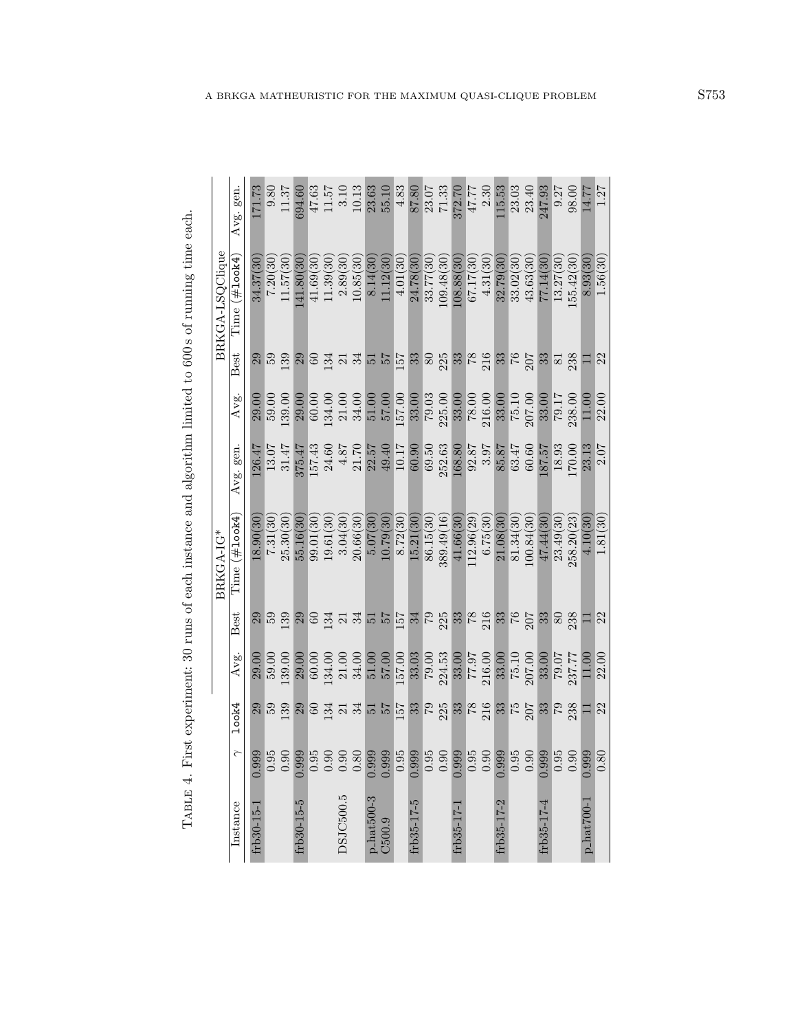| į                                                                                                                                                                                                                              |
|--------------------------------------------------------------------------------------------------------------------------------------------------------------------------------------------------------------------------------|
| ı<br>١                                                                                                                                                                                                                         |
|                                                                                                                                                                                                                                |
|                                                                                                                                                                                                                                |
|                                                                                                                                                                                                                                |
|                                                                                                                                                                                                                                |
| $\ddot{\phantom{a}}$<br>J                                                                                                                                                                                                      |
| ļ                                                                                                                                                                                                                              |
|                                                                                                                                                                                                                                |
| in the contract of the contract of the contract of the contract of the contract of the contract of the contract of the contract of the contract of the contract of the contract of the contract of the contract of the contrac |
| I<br>j<br>i                                                                                                                                                                                                                    |
|                                                                                                                                                                                                                                |
| i<br>I<br>l                                                                                                                                                                                                                    |
|                                                                                                                                                                                                                                |
| i                                                                                                                                                                                                                              |
| į<br>į<br>j<br>l                                                                                                                                                                                                               |
| l                                                                                                                                                                                                                              |
| ׇׇ֧֦֧֧ׅ֧ׅ֧ׅ֧֧֧֧֧ׅ֧ׅ֧֧֧֧֧֧֧ׅ֧ׅ֚֚֡֟֝֝֬֝֓֝֬֝֓֕֓֕֝֬֝֬֝֓֝֬֝֓֝֬֝֓֝֬֝֬֝֬֝֬֝֝֬֝֬֝֬֝֬֝֬֝֬֝֬֝֝<br>֧֧֧֧֧֧֧֧֪ׅ֧ׅ֧֪ׅ֛֪֪֪ׅ֪֪ׅ֛֪֪ׅ֛֚֚֚֚֚֝֝֝֝֬֝֬֝֬֝֬֝֬<br>$\frac{1}{1}$<br>ŀ                                                                   |

|                 | Avg. gen.                  | 171.73     | $\phantom{-}0.80$ | 11.37                                       | 694.60          |            |                        |                    | $\begin{array}{c} 47.63 \\ 11.57 \\ 3.10 \\ 10.13 \\ 23.63 \\ 55.10 \end{array}$ |                        |          | $4.83\,$          | 87.80      |                     | 23.07<br>71.33<br>372.70                    |            | $47.77$<br>2.30 |                                                                                                                                                                                                                   | 115.53     | $23.03$<br>$23.40$ |            | 247.93                |                        | 9.27<br>98.00   | 14.77                       | 1.27       |
|-----------------|----------------------------|------------|-------------------|---------------------------------------------|-----------------|------------|------------------------|--------------------|----------------------------------------------------------------------------------|------------------------|----------|-------------------|------------|---------------------|---------------------------------------------|------------|-----------------|-------------------------------------------------------------------------------------------------------------------------------------------------------------------------------------------------------------------|------------|--------------------|------------|-----------------------|------------------------|-----------------|-----------------------------|------------|
| BRKGA-LSQClique | $Time~(\#1$ ook $4)$       | 34.37(30   | 7.20(30)          | 11.57(30)                                   | 41.80(30        | 41.69(30)  | 11.39(30)              | 2.89(30            | 10.85(30)                                                                        | 8.14(30)               | 1.12(30) | 4.01(30)          | 24.78(30)  | 33.77(30)           | 09.48(30)                                   | 108.88(30) | 67.17(30)       | 4.31(30)                                                                                                                                                                                                          | 32.79(30   | 33.02(30)          | 43.63(30)  | 77.14(30              | 13.27(30)              | 55.42(30)       | 8.93(30                     | 1.56(30)   |
|                 | Best                       | $^{29}$    | $\frac{59}{139}$  |                                             | $\frac{29}{60}$ |            |                        |                    | ដ្ឋ ដ ដ ដ ដ ដ ដ ន ន ន ដ ន ន ន ដ ដ ន ន ន ន                                        |                        |          |                   |            |                     |                                             |            |                 |                                                                                                                                                                                                                   |            |                    |            |                       |                        | 238             | Ξ                           | 22         |
|                 | Avg.                       | 29.00      | 59.00             | 139.00                                      | 29.00           |            |                        |                    | $\begin{array}{c} 60.00 \\ 134.00 \\ 21.00 \\ 34.00 \\ 51.00 \end{array}$        |                        | 57.00    | 157.00            | 33.00      |                     |                                             |            |                 | $\begin{array}{l} \textbf{79.03} \\ \textbf{225.00} \\ \textbf{33.00} \\ \textbf{78.00} \\ \textbf{216.00} \\ \textbf{33.00} \\ \textbf{75.10} \\ \textbf{75.10} \\ \textbf{76.00} \\ \textbf{77.00} \end{array}$ |            |                    |            | $\frac{33.00}{79.17}$ |                        |                 | 11.00                       | 22.00      |
|                 | Avg. gen                   | 126.47     |                   | $\frac{13.07}{31.47}$                       | 375.47          |            |                        |                    | $\begin{array}{c} 157.43 \\ 24.60 \\ 4.87 \\ 21.70 \\ 22.57 \end{array}$         |                        | 49.40    | TO.17<br>50.90    |            | $69.50$<br>$252.63$ |                                             | 168.80     |                 | 92.87<br>3.97                                                                                                                                                                                                     | 85.87      | 63.47<br>60.60     |            | 187.57                | $\frac{18.93}{170.00}$ |                 | 23.13                       | 2.07       |
| BRKGA-IG*       | Time $(\# \texttt{look4})$ | 18.90(30   | 7.31(30)          | 25.30(30)                                   | 55.16(30        | 99.01(30   | 19.61(30)              | 3.04(30            | 20.66(30                                                                         | 5.07(30)               | 10.79(30 | 8.72(30)          | 15.21(30   | 86.15(30)           | 389.49(16)                                  | 41.66(30   | 12.96(29        | 6.75(30)                                                                                                                                                                                                          | 21.08(30   | 81.34(30           | 100.84(30) | 47.44(30              | 23.49(30               | 258.20(23)      | 4.10(30                     | 1.81(30)   |
|                 | Best                       |            |                   | $\frac{29}{59}$                             |                 |            |                        |                    | a o a a a a p p a a c a a a c a a c a a c                                        |                        |          |                   |            |                     |                                             |            |                 |                                                                                                                                                                                                                   |            |                    |            | 338                   |                        |                 | $\Box$                      | $\sqrt{2}$ |
|                 | Avg.                       | 29.00      | 59.00             | 139.00                                      | 29.00           |            | $\frac{60.00}{134.00}$ | $21.00$<br>$34.00$ |                                                                                  | 51.00                  | 57.00    | 157.00            | 33.03      |                     | $\frac{79.00}{224.53}$                      |            |                 | 77.97<br>216.00                                                                                                                                                                                                   | 33.00      | 75.10<br>207.00    |            | 33.00<br>79.07        |                        | 237.77          | 11.00                       | 22.00      |
|                 | 100k4                      |            | $\frac{64}{30}$   | 39                                          | 29              | $\sqrt{6}$ |                        |                    | 3 3 3 5 5 5 8 6 8 9 8 8 6 9                                                      |                        |          |                   |            |                     |                                             |            |                 |                                                                                                                                                                                                                   |            | $\frac{33}{75}$    |            |                       |                        | $\frac{33}{23}$ | $\Box$                      | $22\,$     |
|                 | ₹                          | 0.999      |                   | $\begin{array}{c} 0.95 \\ 0.90 \end{array}$ | 0.999           | 0.95       |                        | $0.38$<br>$0.38$   |                                                                                  | 0.999                  | 0.999    | $\overline{0.95}$ | 0.999      |                     | $\begin{array}{c} 0.95 \\ 0.90 \end{array}$ | 0.999      |                 | $0.95$<br>0.90                                                                                                                                                                                                    | 0.999      | 0.95               | 0.90       | 0.999                 | 0.95                   | 0.90            | 0.999                       | 0.80       |
|                 | Instance                   | frb30-15-1 |                   |                                             | frb30-15-5      |            |                        | DSJC500.5          |                                                                                  | $p_{\text{.hat500-3}}$ | C500.9   |                   | frb35-17-5 |                     |                                             | frb35-17-1 |                 |                                                                                                                                                                                                                   | frb35-17-2 |                    |            | frb35-17-4            |                        |                 | $p_{\text{.}}$ hat $700$ -1 |            |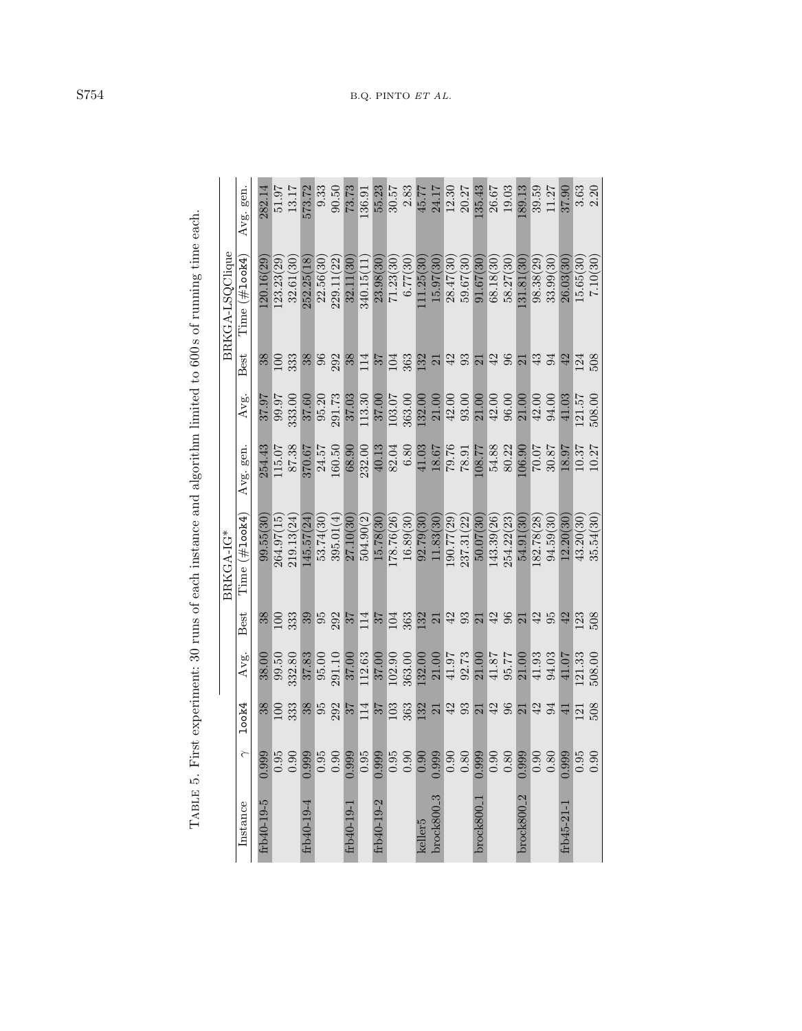|                                                                                                        |                 | Avg. gen        | 282.1      | 51.97        | 13.17      | 573.72                       | 9.33      | 90.50            | 73.73         | 136.91     | 55.23      | 30.57          | $2.83\,$          |                     | 45.77<br>24.17  | 12.30<br>20.27        |                                  | 135.43          | 26.67      | 19.03      | 189.13              | 39.59            | 11.27     | 37.90           |           | $3.63$<br>$2.20$ |
|--------------------------------------------------------------------------------------------------------|-----------------|-----------------|------------|--------------|------------|------------------------------|-----------|------------------|---------------|------------|------------|----------------|-------------------|---------------------|-----------------|-----------------------|----------------------------------|-----------------|------------|------------|---------------------|------------------|-----------|-----------------|-----------|------------------|
|                                                                                                        | BRKGA-LSQClique | l'ime (#1ook4)  | 20.16(29)  | 123.23(29)   | 32.61(30)  | 252.25(18)                   | 22.56(30  | 229.11(22)       | 32.11(30      | 340.15(11) | 23.98(30   | 71.23(30)      | 6.77(30)          | 111.25(30)          | 15.97(30)       | 28.47(30)             | 59.67(30)                        | 91.67(30)       | 68.18(30   | 58.27(30)  | .31.81(30)          | 98.38(29)        | 33.99(30) | 26.03(30)       | 15.65(30) | 7.10(30)         |
|                                                                                                        |                 | <b>Best</b>     | 38         | $\Xi$        | 333        | 38                           |           | 96<br>292        | 38            | 114        | 57         | $\overline{D}$ |                   |                     |                 |                       | <u>ខ្លួន ដង ខ្លួន ដង ខ្លួន ដ</u> |                 |            |            |                     |                  |           | 42              | 124       | 508              |
|                                                                                                        |                 | Avg.            | 37.97      | <b>16:66</b> | 333.00     | 37.60                        | 95.20     | 291.73           | 37.03         | 113.30     | 37.00      | 103.07         | 363.00            | 132.00              | 21.00           | 42.00                 | 93.00                            | 21.00           | 42.00      | 96.00      | 21.00               | 42.00            | 94.00     | 41.03           | 121.57    | 508.00           |
|                                                                                                        |                 | Avg. gen        | 254.43     | 115.07       | 87.38      | 370.67                       | 24.57     | 160.50           | 68.90         | 232.00     | 40.13      | 82.04          | $\phantom{-}6.80$ | 41.03               |                 | <b>18.67</b><br>79.76 | 78.91                            | 17.801          | 54.88      | 80.22      | 106.90              | 70.07            | 30.87     | 18.97           | 10.37     | 10.27            |
| TABLE 5. First experiment: 30 runs of each instance and algorithm limited to 600s of running time each | BRKGA-IG*       | $Time$ (#100k4) | 99.55(30   | 264.97(15)   | 219.13(24) | 145.57(24                    | 53.74(30) | 395.01(4)        | 27.10(30)     | 504.90(2)  | 15.78(30   | 178.76(26)     | 16.89(30)         | 92.79(30)           | 11.83(30)       | 190.77(29)            | 237.31(22)                       | 50.07(30        | 143.39(26) | 254.22(23) | 54.91(30            | 182.78(28)       | 94.59(30) | 12.20(30)       | 43.20(30) | 35.54(30)        |
|                                                                                                        |                 | Best            | 38         | $\Xi$        | 333        | $\mathfrak{S}^{\mathcal{O}}$ |           | $\frac{95}{292}$ | 25            | 114        | 25         | 104            | 363               | 132                 | $\frac{21}{42}$ |                       | 37457                            |                 |            |            |                     | $\frac{1}{4}$ 35 |           | 42              | 123       | 508              |
|                                                                                                        |                 | Avg.            | 38.00      | 99.50        | 332.80     | 37.83                        | 95.00     | 291.10           | 37.00         | 112.63     | 37.00      | 102.90         | 363.00            | 132.00              | 21.00           | 41.97                 | 92.73                            | 21.00           | 41.87      | 95.77      | 21.00               | 41.93            | 94.03     | 41.07           | 121.33    | 508.00           |
|                                                                                                        |                 | <b>look4</b>    | 38         | $\Xi$        | 333        | 38                           | 95        | 292              | $\frac{2}{5}$ | 114        | 25         | 103            | 363               | 132                 | 21              | 42                    | 93                               | $\overline{21}$ | 38         |            | $\overline{\Omega}$ | 42               | 94        | $\overline{41}$ | 121       | 508              |
|                                                                                                        |                 | ≧               | 0.999      | 0.95         | 0.90       | 0.999                        | 0.95      | 0.90             | 0.999         | 0.95       | 0.999      | 0.95           | 0.90              | 0.90                | 0.999           | 0.90                  | $0.80\,$                         | 0.999           | 0.90       | 0.80       | 0.999               | 0.90             | 0.80      | 0.999           | 0.95      | 0.90             |
|                                                                                                        |                 | Instance        | frb40-19-5 |              |            | 19-61-19 hd                  |           |                  | frb40-19-1    |            | frb40-19-2 |                |                   | keller <sub>5</sub> | $brock800-3$    |                       |                                  | brock800        |            |            | $b$ rock $800-2$    |                  |           | frb45-21-1      |           |                  |

S754 B.Q. PINTO ET AL.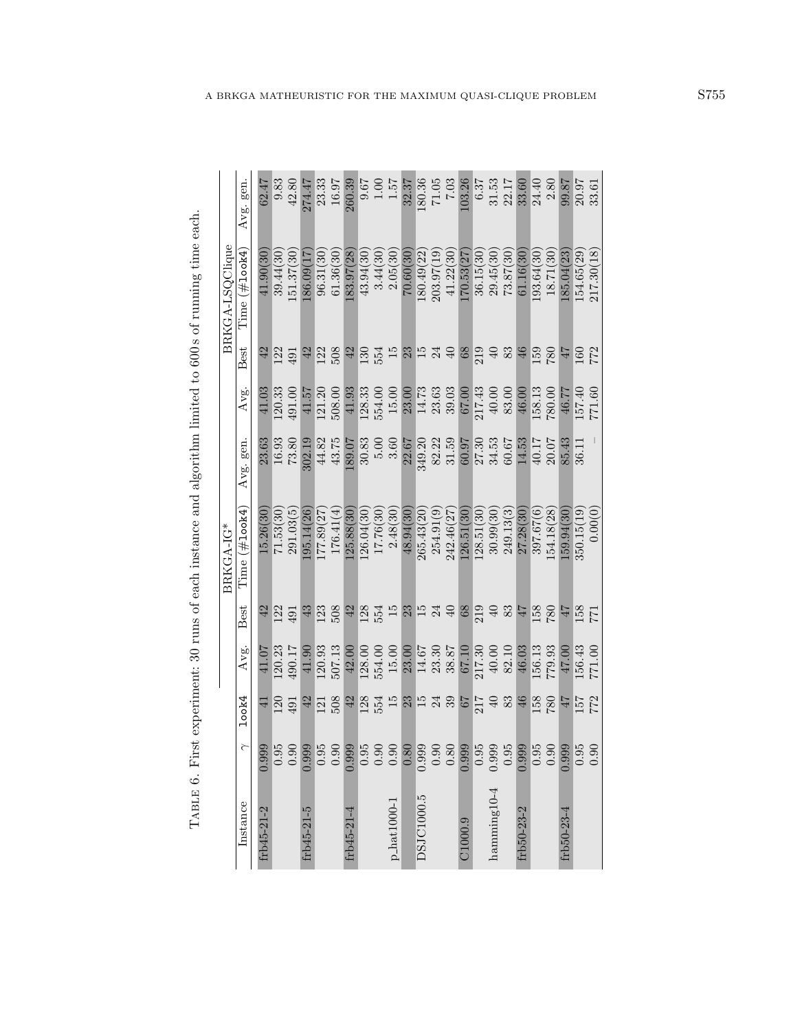| $\sim$ $\sim$ $\sim$ $\sim$ $\sim$ |  |
|------------------------------------|--|
|                                    |  |
|                                    |  |
|                                    |  |
|                                    |  |
|                                    |  |
| .c.c.s.c.t.c.c.c.c.c.c.c.c.c.c     |  |
|                                    |  |
|                                    |  |
| $\frac{1}{2}$                      |  |
|                                    |  |
|                                    |  |
| Ï                                  |  |
|                                    |  |
|                                    |  |
|                                    |  |
|                                    |  |
|                                    |  |
| ׀<br>׀<br>׀                        |  |
| E                                  |  |

|                              |                                             |                       |                                                                 |                                        | BRKGA-IG*     |                                                               |                                          |                   | BRKGA-LSQClique |                                                                |
|------------------------------|---------------------------------------------|-----------------------|-----------------------------------------------------------------|----------------------------------------|---------------|---------------------------------------------------------------|------------------------------------------|-------------------|-----------------|----------------------------------------------------------------|
| Instance                     | $\widetilde{\phantom{0}}$                   | look4                 | Avg.                                                            | Best                                   | Time (#1ook4) | Avg. gen.                                                     | Avg.                                     | Best              | Time (#1ook4)   | Avg. gen.                                                      |
| frb45-21-2                   | 0.999                                       | $\exists$             | 41.07                                                           | 42                                     | 15.26(30)     | 23.63                                                         | 41.03                                    | 42                | 41.90(30)       | 62.47                                                          |
|                              |                                             | $\frac{120}{491}$     | 120.23                                                          | $\overline{122}$                       | 71.53(30)     | 16.93<br>73.80                                                | [20.33]                                  | $\frac{122}{491}$ | 39.44(30)       | $9.83\,$                                                       |
|                              | $\begin{array}{c} 0.95 \\ 0.90 \end{array}$ |                       | 190.17                                                          | 491                                    | 291.03(5)     |                                                               | 191.00                                   |                   | [51.37(30]      | 42.80                                                          |
| frb45-21-5                   | 0.999                                       | $42\,$                | 41.90                                                           | $43\,$                                 | 95.14(26      | 302.19                                                        | 41.57                                    | 42                | 120.0917        | 274.47                                                         |
|                              |                                             |                       | 120.93                                                          |                                        | 77.89(27)     |                                                               | 121.20                                   |                   | 96.31(30        |                                                                |
|                              | $0.95$<br>0.90                              | 121<br>508            | 507.13                                                          | $\frac{123}{508}$                      | 176.41(4)     | 44.82<br>43.75                                                | 508.00                                   | $\frac{22}{508}$  | 61.36(30)       | 23.33<br>16.97                                                 |
| frb45-21-4                   | 0.999                                       | 42                    | 42.00                                                           |                                        | 25.88(30      | 189.07                                                        | 41.93                                    |                   | 183.97(28)      | 260.39                                                         |
|                              |                                             |                       |                                                                 |                                        | 126.04(30     |                                                               |                                          |                   | 43.94(30        |                                                                |
|                              |                                             |                       |                                                                 |                                        | 17.76(30      |                                                               |                                          |                   | 3.44(30)        |                                                                |
| $p\_hat1000-1$               |                                             | $128$<br>$54$<br>$15$ | $\frac{128.00}{554.00}$                                         | 12612112408                            | 2.48(30)      | $\begin{array}{c} 30.83 \\ 5.00 \\ 3.60 \\ 22.67 \end{array}$ | 128.33<br>554.00<br>15.00                | 55358534985388    | 2.05(30)        | $\begin{array}{c} 9.67 \\ 1.00 \\ 1.57 \\ 1.57 \\ \end{array}$ |
|                              | 0.80                                        | 23                    | 23.00                                                           |                                        | 48.94(30      |                                                               | 23.00                                    |                   | 70.60(30        |                                                                |
| DSJC1000.5                   | 0.999                                       |                       |                                                                 |                                        | 265.43(20     | 349.20                                                        |                                          |                   | 180.49(22)      | 180.36                                                         |
|                              | 0.80                                        |                       |                                                                 |                                        | 254.91(9)     |                                                               |                                          |                   | 203.97(19)      |                                                                |
|                              |                                             | 15<br>23<br>35<br>57  | $\begin{array}{c} 14.67 \\ 23.30 \\ 38.87 \\ 67.10 \end{array}$ |                                        | 242.46(27     | $\begin{array}{c} 82.22 \\ 31.59 \\ 60.97 \end{array}$        | $14.73$<br>$23.63$<br>$57.03$<br>$57.09$ |                   | 41.22(30)       | $\begin{array}{c} 7.05 \\ 7.03 \end{array}$                    |
| C1000.9                      | 0.999                                       |                       |                                                                 |                                        | 126.51(30)    |                                                               |                                          |                   | 170.53(27)      | 103.26                                                         |
|                              | 0.95                                        |                       | 217.30<br>40.00                                                 |                                        | 128.51(30)    |                                                               |                                          |                   | 36.15(30)       |                                                                |
| ${\rm hamming}\,10\text{-}4$ | 0.999                                       |                       |                                                                 |                                        | 30.99(30)     | $27.30$<br>$34.53$<br>$60.67$                                 | $217.43$<br>$40.00$                      |                   | 29.45(30)       |                                                                |
|                              | 0.95                                        | $\frac{217}{49}$      | 82.10                                                           | $219$<br>$49$<br>$45$<br>$45$<br>$158$ | 249.13(3)     |                                                               | 83.00                                    |                   | 73.87(30)       | $\begin{array}{c} 6.37 \\ 31.53 \\ 22.17 \\ 33.60 \end{array}$ |
| frb50-23-2                   | 0.999                                       |                       | 46.03                                                           |                                        | 27.28(30)     | 14.53                                                         | 46.00                                    |                   | 61.16(30        |                                                                |
|                              | 0.95                                        | 158                   | 156.13                                                          |                                        | 397.67(6)     | $\frac{40.17}{ }$                                             | 158.13                                   | 159               | 193.64(30)      | $\frac{24.40}{2.80}$                                           |
|                              | 0.90                                        | $780\,$               | 779.93                                                          | $780\,$                                | 54.18(28)     | 20.07                                                         | 780.00                                   | $780\,$           | 18.71(30)       |                                                                |
| frb50-23-4                   | 0.999                                       | $L\bar{F}$            | 47.00                                                           | $\frac{177}{158}$                      | 59.94(30      | 85.43                                                         | 46.77                                    | $2\bar{\nu}$      | 185.04(23)      | 99.87<br>20.97                                                 |
|                              | 0.95                                        | 157<br>772            | 156.43                                                          |                                        | 350.15(19)    | 36.11                                                         | 157.40<br>771.60                         | 160<br>772        | 154.65(29)      |                                                                |
|                              | 0.90                                        |                       | 771.00                                                          |                                        | 0.00(0)       |                                                               |                                          |                   | 217.30(18)      | 33.61                                                          |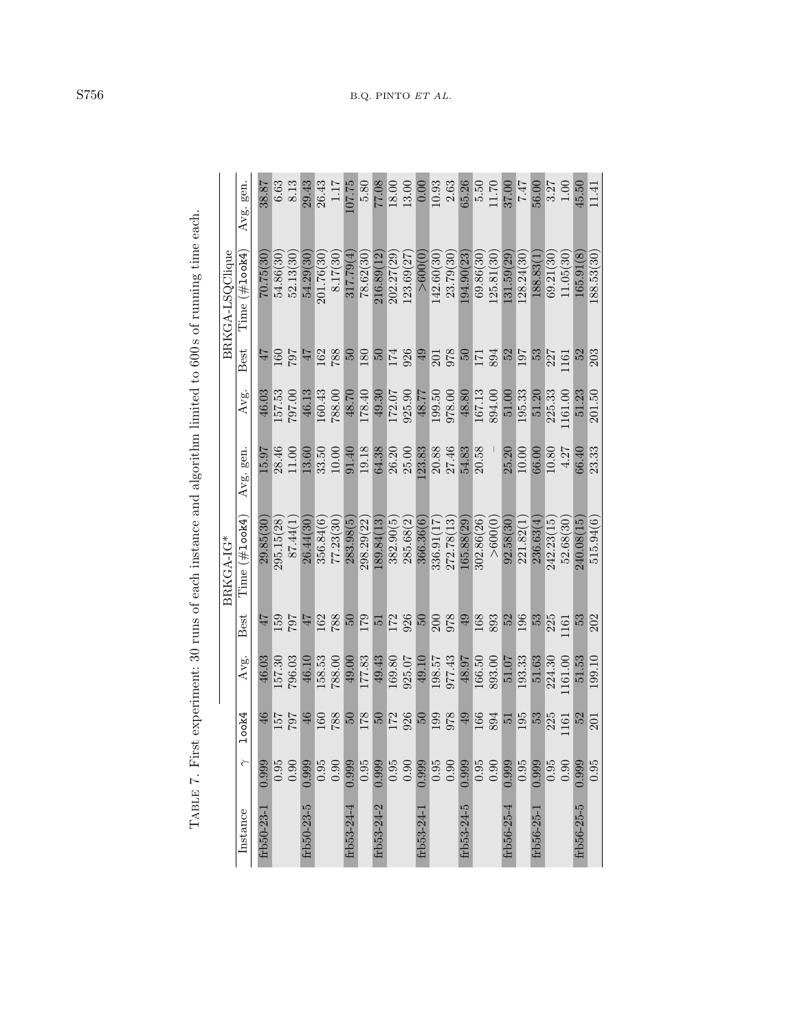|              |        |                  |        |                  | BRKGA-IG*                  |              |        |                  | BRKGA-LSQClique |              |
|--------------|--------|------------------|--------|------------------|----------------------------|--------------|--------|------------------|-----------------|--------------|
| Instance     | $\sim$ | 100k4            | Avg.   | Best             | Time $(\# \texttt{look4})$ | gen.<br>Avg. | Avg.   | Best             | Time (#1ook4    | gen.<br>Avg. |
| frb50-23-1   | 0.999  | 46               | 46.03  | 47               | 29.85(30)                  | 16.51        | 46.03  | 47               | 70.75(30)       | 38.87        |
|              | 0.95   | 157              | 157.30 | 159              | 295.15(28)                 | 28.46        | 157.53 | $\overline{160}$ | 54.86(30        | 6.63         |
|              | 0.90   | 707              | 796.03 | 707              | 87.44(1                    | 1.00         | 797.00 | 707              | 52.13(30        | 8.13         |
| frb50-23-5   | 0.999  | 46               | 46.10  | 47               | 26.44(30                   | 13.60        | 46.13  | 47               | 54.29(30        | 29.43        |
|              | 0.95   | <b>60</b>        | 158.53 | 162              | 356.84(6)                  | 33.50        | 160.43 | 162              | 201.76(30       | 26.43        |
|              | 0.90   | 788              | 788.00 | 788              | 77.23(30)                  | 10.00        | 788.00 | 788              | 8.17(30         | $1.17\,$     |
| frb53-24-4   | 0.999  | 50               | 49.00  | $50\,$           | 283.98(5)                  | 91.40        | 48.70  | $50\,$           | 317.79(4        | 07.75        |
|              | 0.95   | 178              | 177.83 | 179              | 298.29(22)                 | 19.18        | 178.40 | 180              | 78.62(30        | 5.80         |
| frb53-24-2   | 0.999  | $50\,$           | 49.43  | $\frac{1}{2}$    | 189.84(13)                 | 64.38        | 49.30  | 50               | 216.89(12       | 77.08        |
|              | 0.95   | $\overline{172}$ | 169.80 | 172<br>926       | 382.90(5)                  | 26.20        | 172.07 | 174              | 202.27(29       | 18.00        |
|              | 0.90   | $\frac{926}{50}$ | 925.07 |                  | 285.68(2)                  | 25.00        | 925.90 | 926              | 123.69(27       | 13.00        |
| frb53-24-    | 0.999  |                  | 49.10  | 50               | 366.36(6)                  | 23.83        | 48.77  | 49               | > 600(0)        | 0.00         |
|              | 0.95   |                  | 198.57 |                  | 336.91(17)                 | 20.88        | 199.50 |                  | 142.60(30       | 10.93        |
|              | 0.90   | 199              | 977.43 | 200<br>978       | 272.78(13)                 | 27.46        | 978.00 | 201<br>978       | 23.79(30        | $2.63$       |
| $frb53-24-5$ | 0.999  | 49               | 48.97  | 49               | 165.88(29)                 | 54.83        | 48.80  | 69               | 94.90(23        | 65.26        |
|              | 0.95   | 166              | 166.50 | 168<br>893       | 302.86(26)                 | 20.58        | 167.13 | 171<br>894       | 69.86(30        | 5.50         |
|              | 0.90   | 894              | 893.00 |                  | > 600(0)                   |              | 894.00 |                  | 125.81(30)      | $11.70$      |
| frb56-25-4   | 0.999  | $\frac{1}{2}$    | 51.07  | $\frac{52}{196}$ | 92.58(30                   | 25.20        | 51.00  | 52               | 31.59(29)       | 37.00        |
|              | 0.95   | 195              | 193.33 |                  | 221.82(1)                  | 10.00        | 195.33 | 197              | 128.24(30       | <b>LF'Z</b>  |
| frb56-25-    | 0.999  | 53               | 51.63  | 53               | 236.63(4                   | 66.00        | 51.20  | 53               | 188.83(1        | 56.00        |
|              | 0.95   | 225              | 224.30 | 225              | 242.23(15)                 | 10.80        | 225.33 | 227              | 69.21(30        | 3.27         |
|              | 0.90   | $161$            | 161.00 | .161             | 52.68(30)                  | 4.27         | 161.00 | 161              | 11.05(30        | $1.00\,$     |
| frb56-25-5   | 0.999  | 52               | 51.53  | 53               | 240.08(15)                 | 66.40        | 51.23  | 52               | 165.91(8)       | 45.50        |
|              | 0.95   | 201              | 199.10 | 202              | 515.94(6)                  | 23.33        | 201.50 | 203              | 188.53(30       | 11.41        |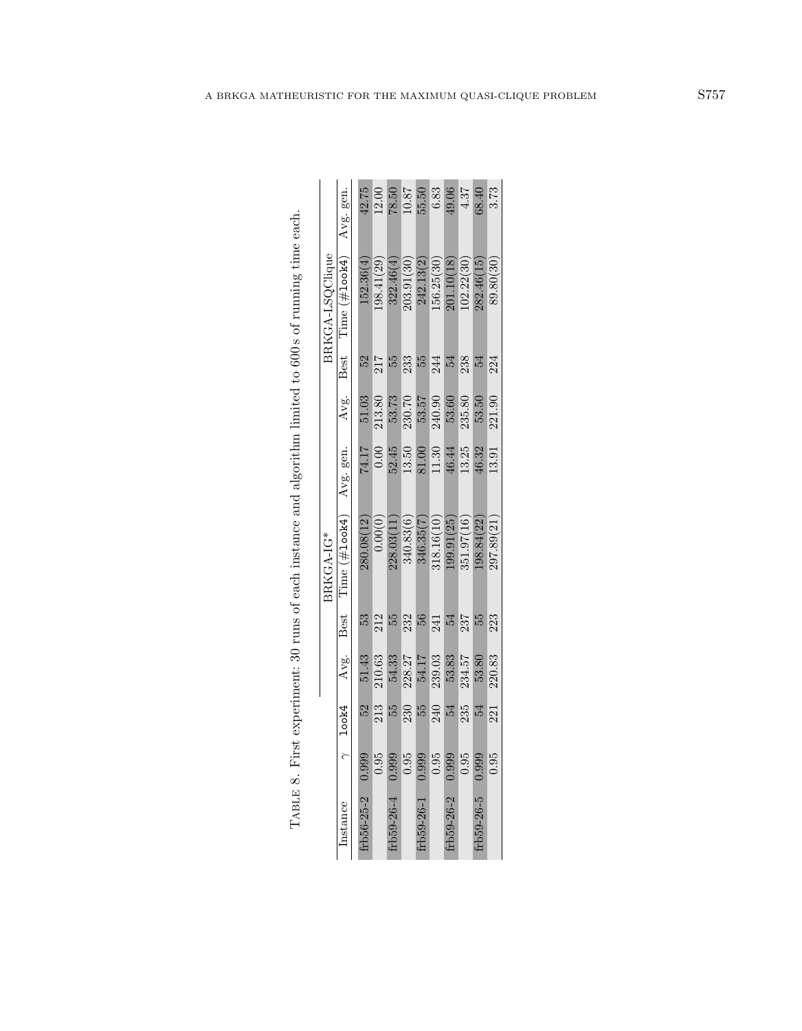| ١                                                                          |
|----------------------------------------------------------------------------|
| $\overline{\phantom{a}}$<br>١                                              |
| ł<br>l<br>I                                                                |
|                                                                            |
|                                                                            |
| Ì                                                                          |
| ו<br>ו<br>j<br>١<br>j                                                      |
|                                                                            |
| ĺ<br>ĺ<br>ï<br>$\frac{4}{3}$<br>$\frac{1}{1}$                              |
| <br> }<br>¢                                                                |
|                                                                            |
| $\frac{1}{2}$                                                              |
|                                                                            |
| $\sim$<br>ו<br>ו<br>$\vdots$                                               |
| ١<br>ŗ<br>I                                                                |
|                                                                            |
| $\overline{a}$<br>ן<br>ו<br>.<br>י<br>$\overline{\phantom{a}}$<br>$\vdots$ |

|                                                                                                          |                 | gen.<br>Avg.      | 42.75      | 12.00     | 78.50     | 18.0       | 55.50      | 6.83       | 49.06      | 4.37       | 68.40      | 3.73       |
|----------------------------------------------------------------------------------------------------------|-----------------|-------------------|------------|-----------|-----------|------------|------------|------------|------------|------------|------------|------------|
|                                                                                                          | BRKGA-LSQClique | Time $(\#$ look4) | 152.36(4)  | 98.41(29) | 322.46(4) | 203.91(30) | 242.13(2)  | 156.25(30) | 201.10(18) | 102.22(30) | 282.46(15) | 89.80(30)  |
|                                                                                                          |                 | Best              | 52         | 217       | 55        | 233        | 55         | 244        | 24         | 238        |            | 224        |
|                                                                                                          |                 | Avg.              | 51.03      | 213.80    | 53.73     | 230.70     | 53.57      | 240.90     | 53.60      | 235.80     | 53.50      | 221.90     |
|                                                                                                          |                 | Avg. gen.         | 74.17      | 0.00      | 52.45     | 13.50      | 81.00      | 11.30      | 46.44      | 13.25      | 16.32      | 13.91      |
| TABLE 8. First experiment: 30 runs of each instance and algorithm limited to $600s$ of running time each | BRKGA-IG*       | Time (#100k4)     | 280.08(12) | 0.00(0)   | 228.03(11 | 340.83(6)  | 346.35(7)  | 318.16(10) | 99.91(25)  | 351.97(16) | 198.84(22) | 297.89(21) |
|                                                                                                          |                 | Best              | 53         | 212       | 55        | 232        | 56         | 241        |            | 237        |            | 223        |
|                                                                                                          |                 | Avg.              | 51.43      | 210.63    | 54.33     | 228.27     | 54.17      | 239.03     | 53.83      | 234.57     | 53.80      | 220.83     |
|                                                                                                          |                 | $\gamma$ look4    | 52         | 213       | 55        | 230        | 55         | 240        | 54         | 235        |            | 221        |
|                                                                                                          |                 |                   | 0.999      | 0.95      | 0.999     | 0.95       | 0.999      | 0.95       | 0.999      | 0.95       | 0.999      | 0.95       |
|                                                                                                          |                 | Instance          | rb56-25-2  |           | rb59-26-4 |            | trb59-26-1 |            | trb59-26-2 |            | trb59-26-5 |            |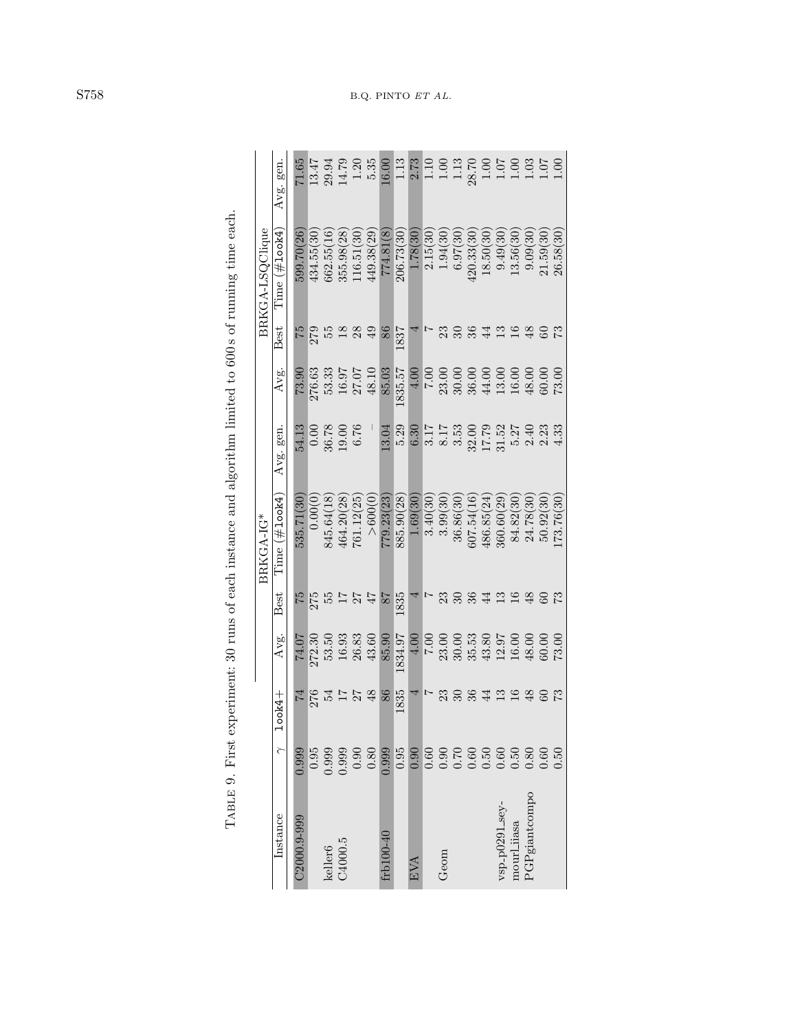|                                       |       |                 |          |                  | BRKGA-IG*          |                      |                    |                 | BRKGA-LSQClique |                                 |
|---------------------------------------|-------|-----------------|----------|------------------|--------------------|----------------------|--------------------|-----------------|-----------------|---------------------------------|
| Instance                              |       | $1$ ook $4+$    | Avg.     | <b>Best</b>      | $Time \ (\#1ook4)$ | Avg. gen.            | Avg.               | Best            | $Time$ (#100k4) | Avg. gen.                       |
| C <sub>2000.9-999</sub>               | 0.999 | $\overline{14}$ | 74.07    |                  | 535.71(30          | 54.13                | 73.90              | 52              | 599.70(26)      | 71.65                           |
|                                       | 0.95  | 276             | 272.30   | $\frac{75}{275}$ | 0.00(0             |                      | 276.63             | 279             | 434.55(30       | 13.47                           |
| keller <sub>6</sub>                   | 0.999 | 54              | 53.50    | 55               | 845.64(18          | $\frac{0.00}{36.78}$ | 53.33              |                 | 662.55(16)      | 29.94<br>14.79                  |
| C4000.5                               | 0.999 | 77              | 16.93    |                  | 464.20(28          |                      | 16.97              | $\frac{8}{1}$   | 355.98(28)      |                                 |
|                                       | 0.90  |                 | 26.83    | 27               | 761.12(25          | 6.76                 | 27.07              | 28              | 116.51(30)      | $1.20\,$                        |
|                                       | 0.80  | 48              | 43.60    |                  | > 600(             |                      | 48.10              | $\overline{49}$ | 449.38(29)      | 5.35                            |
| ${\rm frb}100\text{-}40$              | 0.999 | 86              | 85.90    | 78               | 779.23(23          | 3.04                 | 85.03              | 86              | 774.81(8)       | 16.00                           |
|                                       | 0.95  | 1835            | 1834.97  | 1835             | 885.90(28)         | 5.29                 | 1835.57            | 1837            | 206.73(30       | 1.13                            |
| EVA                                   | 0.90  |                 | 4.00     |                  | 1.69(30)           | 6.30                 | 4.00               |                 | 1.78(30)        | 2.73                            |
|                                       | 0.60  |                 | $7.00\,$ |                  | 3.40(30            |                      | 00.7               |                 | 2.15(30)        | 1.10                            |
| Geom                                  | 0.90  | 23              | 23.00    | 23               | 3.99(30            | 3.17<br>8.17<br>3.53 | 23.00              |                 | 1.94(30)        | $1.00\,$                        |
|                                       | 0.70  |                 | 30.00    |                  | 36.86(30           |                      | 30.00              |                 | 6.97(30)        | $1.13\,$                        |
|                                       | 0.60  | 36              | 35.53    | 36               | 607.54(16)         | 32.00<br>17.79       | $36.00$<br>44.00   |                 | 420.33(30       | $28.70$<br>1.00<br>1.07<br>1.00 |
|                                       | 0.50  | $\overline{4}$  | 43.80    | $\overline{4}$   | 486.85(24          |                      |                    | 44              | 18.50(30)       |                                 |
|                                       | 0.60  | $\mathbb{C}$    | 12.97    | 13               | 360.60(29          | 31.52                | $13.00$<br>$16.00$ | ≌               | 9.49(30)        |                                 |
| $_{\rm vsp\_p0291\_sey-}$ mourl_iiasa | 0.50  | $\overline{16}$ | 16.00    | 16               | 84.82(30           | 5.27                 |                    |                 | 13.56(30        |                                 |
| PGPgiantcompo                         | 0.80  | $\frac{8}{5}$   | 48.00    | 48               | 24.78(30           | 2.40                 | 48.00              | \$              | 9.09(30)        | 1.03                            |
|                                       | 0.60  |                 | 30.00    |                  | 50.92(30           | 2.23                 | 60.00              |                 | 21.59(30        | 1.07                            |
|                                       | 0.50  |                 | 73.00    |                  | 173.76(30)         | 4.33                 | 73.00              | 52              | 26.58(30        | 00.1                            |

<span id="page-17-0"></span>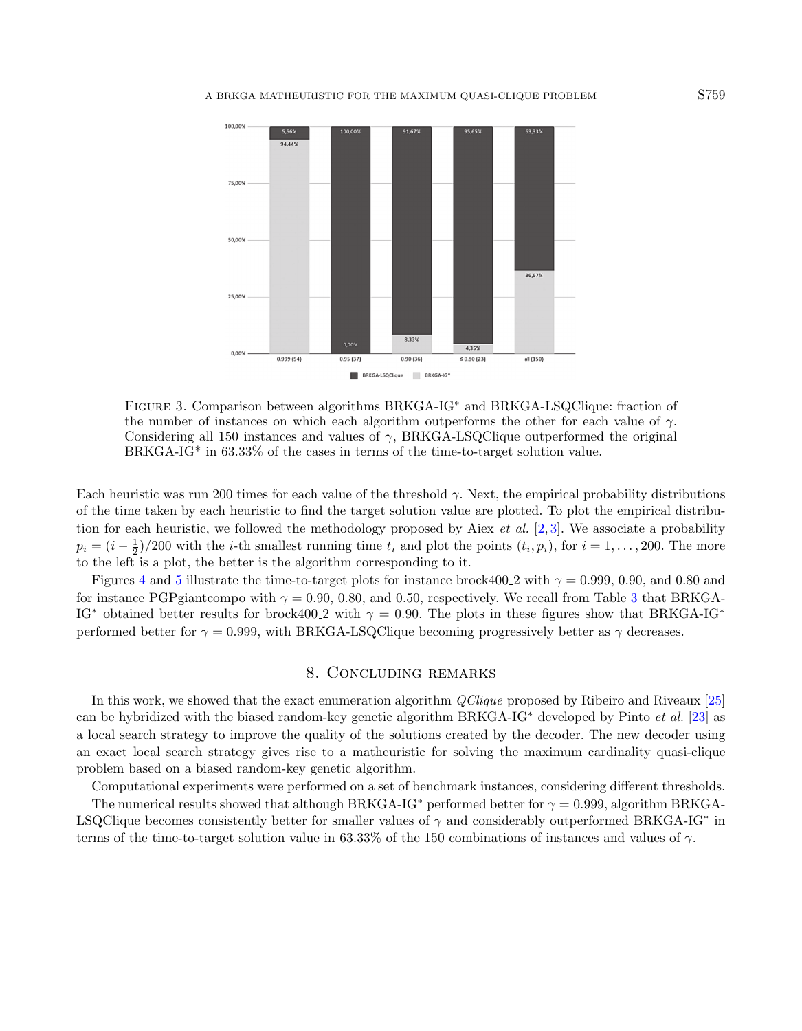

<span id="page-18-0"></span>Figure 3. Comparison between algorithms BRKGA-IG<sup>∗</sup> and BRKGA-LSQClique: fraction of the number of instances on which each algorithm outperforms the other for each value of  $\gamma$ . Considering all 150 instances and values of  $\gamma$ , BRKGA-LSQClique outperformed the original BRKGA-IG\* in 63.33% of the cases in terms of the time-to-target solution value.

Each heuristic was run 200 times for each value of the threshold  $\gamma$ . Next, the empirical probability distributions of the time taken by each heuristic to find the target solution value are plotted. To plot the empirical distribution for each heuristic, we followed the methodology proposed by Aiex *et al.* [\[2,](#page-21-24)[3\]](#page-21-25). We associate a probability  $p_i = (i - \frac{1}{2})/200$  with the *i*-th smallest running time  $t_i$  and plot the points  $(t_i, p_i)$ , for  $i = 1, ..., 200$ . The more to the left is a plot, the better is the algorithm corresponding to it.

Figures [4](#page-19-0) and [5](#page-20-0) illustrate the time-to-target plots for instance brock400.2 with  $\gamma = 0.999, 0.90,$  and 0.80 and for instance PGPgiantcompo with  $\gamma = 0.90, 0.80,$  and 0.50, respectively. We recall from Table [3](#page-11-0) that BRKGA-IG<sup>\*</sup> obtained better results for brock400.2 with  $\gamma = 0.90$ . The plots in these figures show that BRKGA-IG<sup>\*</sup> performed better for  $\gamma = 0.999$ , with BRKGA-LSQClique becoming progressively better as  $\gamma$  decreases.

## 8. Concluding remarks

In this work, we showed that the exact enumeration algorithm *QClique* proposed by Ribeiro and Riveaux [\[25\]](#page-21-7) can be hybridized with the biased random-key genetic algorithm BRKGA-IG<sup>∗</sup> developed by Pinto et al. [\[23\]](#page-21-6) as a local search strategy to improve the quality of the solutions created by the decoder. The new decoder using an exact local search strategy gives rise to a matheuristic for solving the maximum cardinality quasi-clique problem based on a biased random-key genetic algorithm.

Computational experiments were performed on a set of benchmark instances, considering different thresholds. The numerical results showed that although BRKGA-IG<sup>\*</sup> performed better for  $\gamma = 0.999$ , algorithm BRKGA-LSQClique becomes consistently better for smaller values of  $\gamma$  and considerably outperformed BRKGA-IG<sup>\*</sup> in terms of the time-to-target solution value in 63.33% of the 150 combinations of instances and values of  $\gamma$ .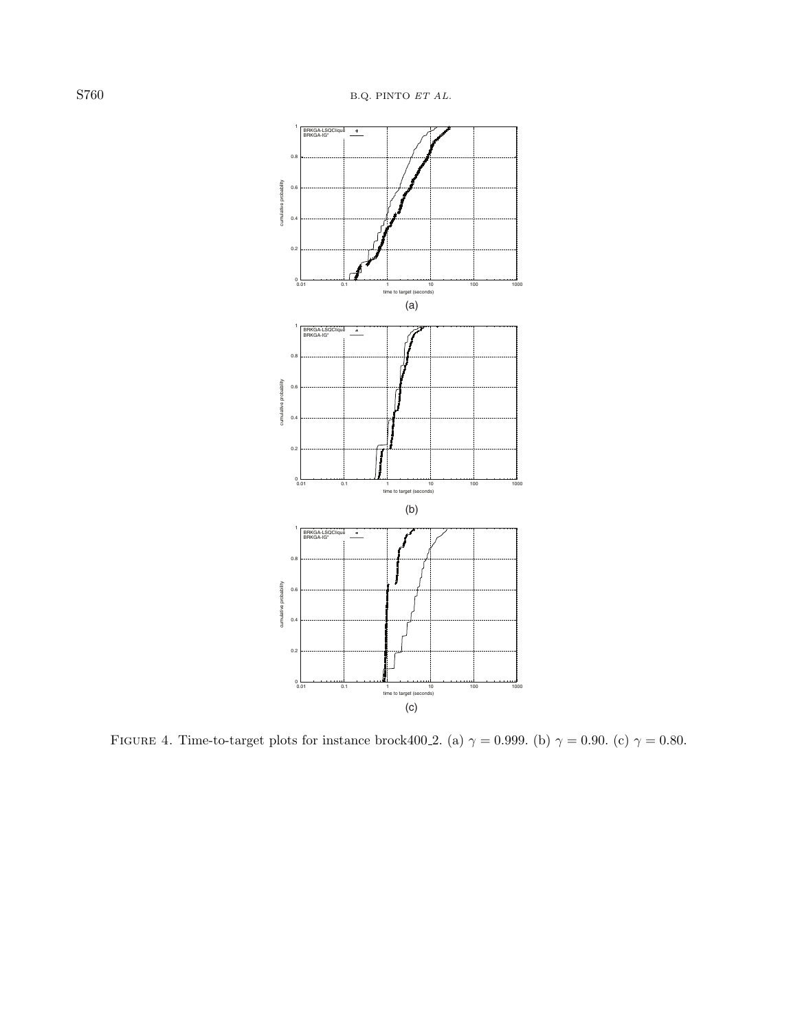

<span id="page-19-0"></span>FIGURE 4. Time-to-target plots for instance brock400 2. (a)  $\gamma = 0.999$ . (b)  $\gamma = 0.90$ . (c)  $\gamma = 0.80$ .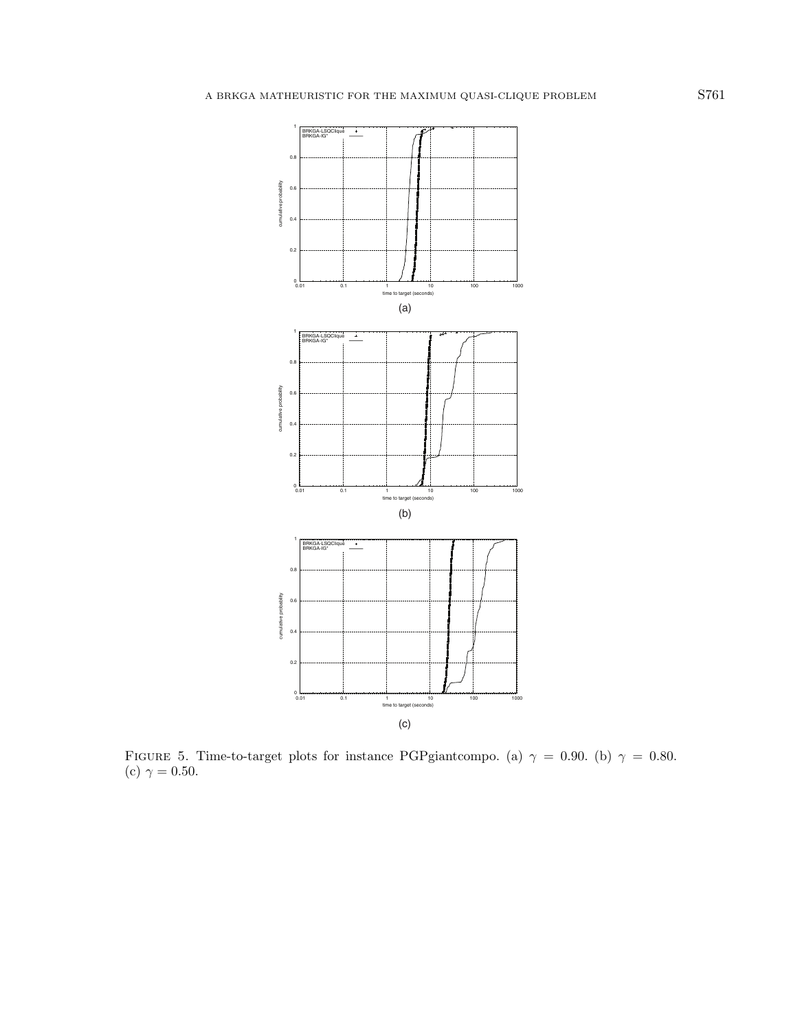

<span id="page-20-0"></span>FIGURE 5. Time-to-target plots for instance PGPgiantcompo. (a)  $\gamma = 0.90$ . (b)  $\gamma = 0.80$ . (c)  $\gamma = 0.50$ .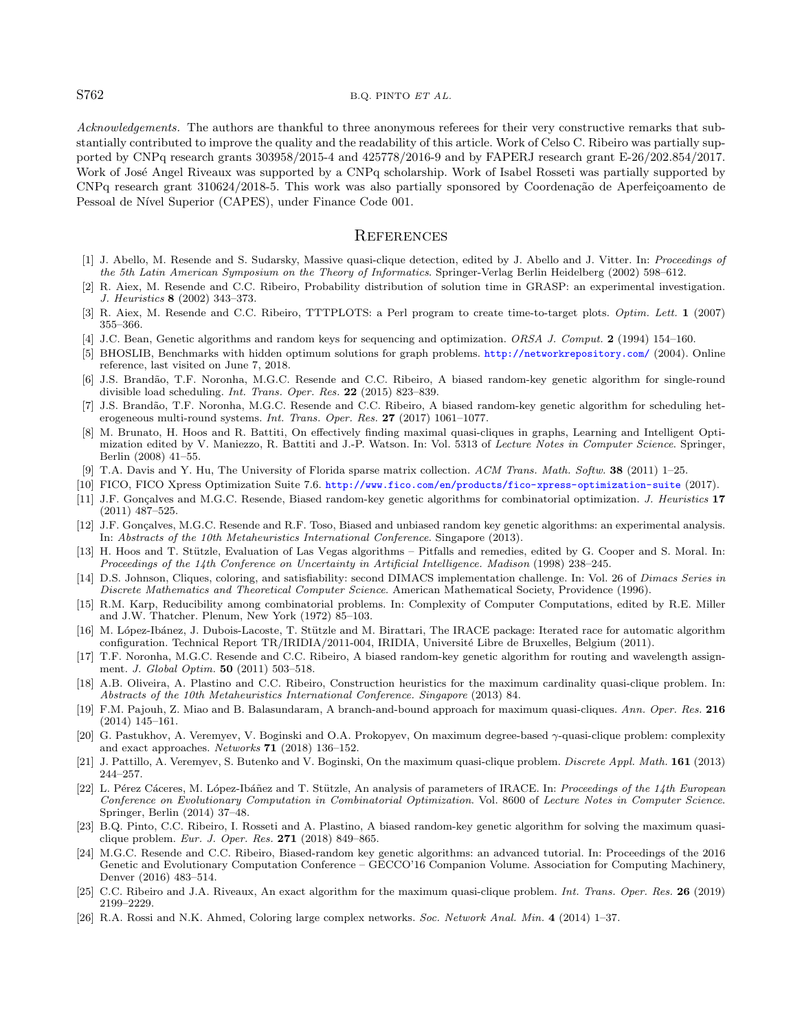## <span id="page-21-24"></span><span id="page-21-3"></span>S762 B.Q. PINTO ET AL.

<span id="page-21-25"></span><span id="page-21-20"></span><span id="page-21-15"></span><span id="page-21-12"></span>Acknowledgements. The authors are thankful to three anonymous referees for their very constructive remarks that substantially contributed to improve the quality and the readability of this article. Work of Celso C. Ribeiro was partially supported by CNPq research grants 303958/2015-4 and 425778/2016-9 and by FAPERJ research grant E-26/202.854/2017. Work of José Angel Riveaux was supported by a CNPq scholarship. Work of Isabel Rosseti was partially supported by CNPq research grant 310624/2018-5. This work was also partially sponsored by Coordenação de Aperfeiçoamento de Pessoal de Nível Superior (CAPES), under Finance Code 001.

#### **REFERENCES**

- <span id="page-21-13"></span><span id="page-21-2"></span>[1] J. Abello, M. Resende and S. Sudarsky, Massive quasi-clique detection, edited by J. Abello and J. Vitter. In: Proceedings of the 5th Latin American Symposium on the Theory of Informatics. Springer-Verlag Berlin Heidelberg (2002) 598–612.
- <span id="page-21-22"></span><span id="page-21-9"></span>[2] R. Aiex, M. Resende and C.C. Ribeiro, Probability distribution of solution time in GRASP: an experimental investigation. J. Heuristics 8 (2002) 343–373.
- <span id="page-21-10"></span>[3] R. Aiex, M. Resende and C.C. Ribeiro, TTTPLOTS: a Perl program to create time-to-target plots. Optim. Lett. 1 (2007) 355–366.
- <span id="page-21-16"></span>[4] J.C. Bean, Genetic algorithms and random keys for sequencing and optimization. ORSA J. Comput. 2 (1994) 154–160.
- <span id="page-21-23"></span>[5] BHOSLIB, Benchmarks with hidden optimum solutions for graph problems. <http://networkrepository.com/> (2004). Online reference, last visited on June 7, 2018.
- <span id="page-21-19"></span>[6] J.S. Brand˜ao, T.F. Noronha, M.G.C. Resende and C.C. Ribeiro, A biased random-key genetic algorithm for single-round divisible load scheduling. Int. Trans. Oper. Res. 22 (2015) 823–839.
- <span id="page-21-0"></span>[7] J.S. Brandão, T.F. Noronha, M.G.C. Resende and C.C. Ribeiro, A biased random-key genetic algorithm for scheduling heterogeneous multi-round systems. Int. Trans. Oper. Res. 27 (2017) 1061–1077.
- <span id="page-21-17"></span>[8] M. Brunato, H. Hoos and R. Battiti, On effectively finding maximal quasi-cliques in graphs, Learning and Intelligent Optimization edited by V. Maniezzo, R. Battiti and J.-P. Watson. In: Vol. 5313 of Lecture Notes in Computer Science. Springer, Berlin (2008) 41–55.
- <span id="page-21-14"></span>[9] T.A. Davis and Y. Hu, The University of Florida sparse matrix collection. ACM Trans. Math. Softw. 38 (2011) 1–25.
- <span id="page-21-5"></span>[10] FICO, FICO Xpress Optimization Suite 7.6. <http://www.fico.com/en/products/fico-xpress-optimization-suite> (2017).
- [11] J.F. Gonçalves and M.G.C. Resende, Biased random-key genetic algorithms for combinatorial optimization. J. Heuristics 17 (2011) 487–525.
- <span id="page-21-8"></span>[12] J.F. Gonçalves, M.G.C. Resende and R.F. Toso, Biased and unbiased random key genetic algorithms: an experimental analysis. In: Abstracts of the 10th Metaheuristics International Conference. Singapore (2013).
- <span id="page-21-4"></span>[13] H. Hoos and T. Stützle, Evaluation of Las Vegas algorithms – Pitfalls and remedies, edited by G. Cooper and S. Moral. In: Proceedings of the 14th Conference on Uncertainty in Artificial Intelligence. Madison (1998) 238–245.
- <span id="page-21-1"></span>[14] D.S. Johnson, Cliques, coloring, and satisfiability: second DIMACS implementation challenge. In: Vol. 26 of Dimacs Series in Discrete Mathematics and Theoretical Computer Science. American Mathematical Society, Providence (1996).
- <span id="page-21-18"></span>[15] R.M. Karp, Reducibility among combinatorial problems. In: Complexity of Computer Computations, edited by R.E. Miller and J.W. Thatcher. Plenum, New York (1972) 85–103.
- <span id="page-21-6"></span>[16] M. López-Ibánez, J. Dubois-Lacoste, T. Stützle and M. Birattari, The IRACE package: Iterated race for automatic algorithm configuration. Technical Report TR/IRIDIA/2011-004, IRIDIA, Universit´e Libre de Bruxelles, Belgium (2011).
- <span id="page-21-11"></span>[17] T.F. Noronha, M.G.C. Resende and C.C. Ribeiro, A biased random-key genetic algorithm for routing and wavelength assignment. J. Global Optim. 50 (2011) 503–518.
- [18] A.B. Oliveira, A. Plastino and C.C. Ribeiro, Construction heuristics for the maximum cardinality quasi-clique problem. In: Abstracts of the 10th Metaheuristics International Conference. Singapore (2013) 84.
- <span id="page-21-7"></span>[19] F.M. Pajouh, Z. Miao and B. Balasundaram, A branch-and-bound approach for maximum quasi-cliques. Ann. Oper. Res. 216 (2014) 145–161.
- <span id="page-21-21"></span>[20] G. Pastukhov, A. Veremyev, V. Boginski and O.A. Prokopyev, On maximum degree-based γ-quasi-clique problem: complexity and exact approaches. Networks 71 (2018) 136–152.
- [21] J. Pattillo, A. Veremyev, S. Butenko and V. Boginski, On the maximum quasi-clique problem. Discrete Appl. Math. 161 (2013) 244–257.
- [22] L. Pérez Cáceres, M. López-Ibáñez and T. Stützle, An analysis of parameters of IRACE. In: Proceedings of the 14th European Conference on Evolutionary Computation in Combinatorial Optimization. Vol. 8600 of Lecture Notes in Computer Science. Springer, Berlin (2014) 37–48.
- [23] B.Q. Pinto, C.C. Ribeiro, I. Rosseti and A. Plastino, A biased random-key genetic algorithm for solving the maximum quasiclique problem. Eur. J. Oper. Res. 271 (2018) 849–865.
- [24] M.G.C. Resende and C.C. Ribeiro, Biased-random key genetic algorithms: an advanced tutorial. In: Proceedings of the 2016 Genetic and Evolutionary Computation Conference – GECCO'16 Companion Volume. Association for Computing Machinery, Denver (2016) 483–514.
- [25] C.C. Ribeiro and J.A. Riveaux, An exact algorithm for the maximum quasi-clique problem. Int. Trans. Oper. Res. 26 (2019) 2199–2229.
- [26] R.A. Rossi and N.K. Ahmed, Coloring large complex networks. Soc. Network Anal. Min. 4 (2014) 1–37.